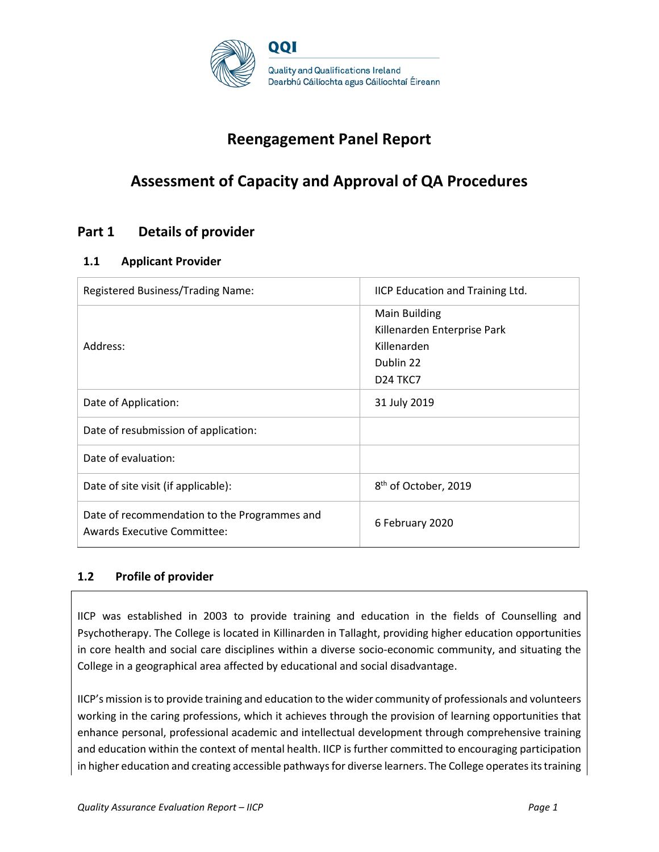

# **Reengagement Panel Report**

# **Assessment of Capacity and Approval of QA Procedures**

# **Part 1 Details of provider**

## **1.1 Applicant Provider**

| Registered Business/Trading Name:                                                  | IICP Education and Training Ltd.                                                                              |
|------------------------------------------------------------------------------------|---------------------------------------------------------------------------------------------------------------|
| Address:                                                                           | Main Building<br>Killenarden Enterprise Park<br>Killenarden<br>Dublin 22<br>D <sub>24</sub> T <sub>KC</sub> 7 |
| Date of Application:                                                               | 31 July 2019                                                                                                  |
| Date of resubmission of application:                                               |                                                                                                               |
| Date of evaluation:                                                                |                                                                                                               |
| Date of site visit (if applicable):                                                | 8 <sup>th</sup> of October, 2019                                                                              |
| Date of recommendation to the Programmes and<br><b>Awards Executive Committee:</b> | 6 February 2020                                                                                               |

## **1.2 Profile of provider**

IICP was established in 2003 to provide training and education in the fields of Counselling and Psychotherapy. The College is located in Killinarden in Tallaght, providing higher education opportunities in core health and social care disciplines within a diverse socio-economic community, and situating the College in a geographical area affected by educational and social disadvantage.

IICP's mission is to provide training and education to the wider community of professionals and volunteers working in the caring professions, which it achieves through the provision of learning opportunities that enhance personal, professional academic and intellectual development through comprehensive training and education within the context of mental health. IICP is further committed to encouraging participation in higher education and creating accessible pathways for diverse learners. The College operates its training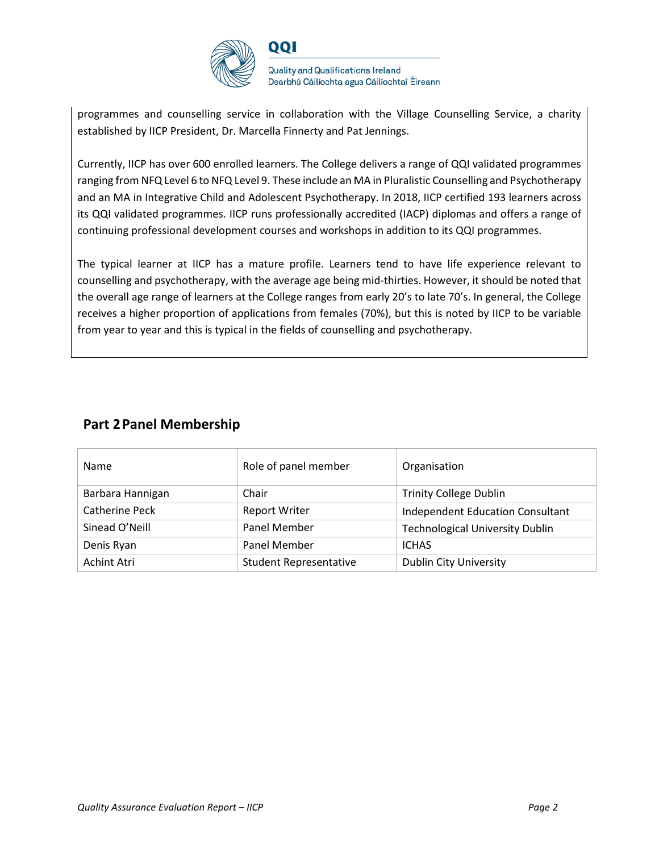

QQI

**Quality and Qualifications Ireland** Dearbhú Cáilíochta agus Cáilíochtaí Éireann

programmes and counselling service in collaboration with the Village Counselling Service, a charity established by IICP President, Dr. Marcella Finnerty and Pat Jennings.

Currently, IICP has over 600 enrolled learners. The College delivers a range of QQI validated programmes ranging from NFQ Level 6 to NFQ Level 9. These include an MA in Pluralistic Counselling and Psychotherapy and an MA in Integrative Child and Adolescent Psychotherapy. In 2018, IICP certified 193 learners across its QQI validated programmes. IICP runs professionally accredited (IACP) diplomas and offers a range of continuing professional development courses and workshops in addition to its QQI programmes.

The typical learner at IICP has a mature profile. Learners tend to have life experience relevant to counselling and psychotherapy, with the average age being mid-thirties. However, it should be noted that the overall age range of learners at the College ranges from early 20's to late 70's. In general, the College receives a higher proportion of applications from females (70%), but this is noted by IICP to be variable from year to year and this is typical in the fields of counselling and psychotherapy.

| <b>Name</b>      | Role of panel member          | Organisation                            |
|------------------|-------------------------------|-----------------------------------------|
| Barbara Hannigan | Chair                         | <b>Trinity College Dublin</b>           |
| Catherine Peck   | <b>Report Writer</b>          | <b>Independent Education Consultant</b> |
| Sinead O'Neill   | Panel Member                  | <b>Technological University Dublin</b>  |
| Denis Ryan       | Panel Member                  | <b>ICHAS</b>                            |
| Achint Atri      | <b>Student Representative</b> | <b>Dublin City University</b>           |

## **Part 2Panel Membership**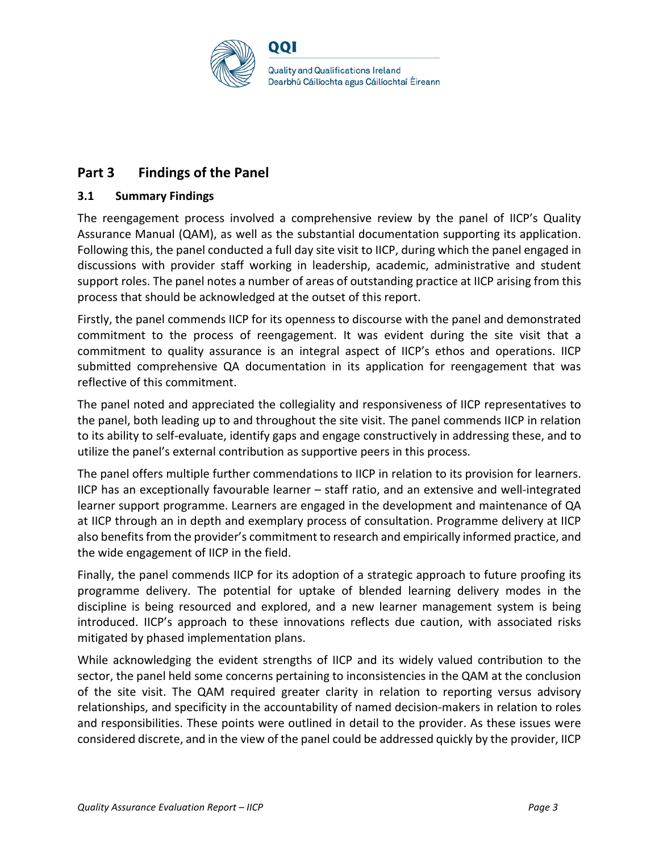

# **Part 3 Findings of the Panel**

## **3.1 Summary Findings**

The reengagement process involved a comprehensive review by the panel of IICP's Quality Assurance Manual (QAM), as well as the substantial documentation supporting its application. Following this, the panel conducted a full day site visit to IICP, during which the panel engaged in discussions with provider staff working in leadership, academic, administrative and student support roles. The panel notes a number of areas of outstanding practice at IICP arising from this process that should be acknowledged at the outset of this report.

Firstly, the panel commends IICP for its openness to discourse with the panel and demonstrated commitment to the process of reengagement. It was evident during the site visit that a commitment to quality assurance is an integral aspect of IICP's ethos and operations. IICP submitted comprehensive QA documentation in its application for reengagement that was reflective of this commitment.

The panel noted and appreciated the collegiality and responsiveness of IICP representatives to the panel, both leading up to and throughout the site visit. The panel commends IICP in relation to its ability to self-evaluate, identify gaps and engage constructively in addressing these, and to utilize the panel's external contribution as supportive peers in this process.

The panel offers multiple further commendations to IICP in relation to its provision for learners. IICP has an exceptionally favourable learner – staff ratio, and an extensive and well-integrated learner support programme. Learners are engaged in the development and maintenance of QA at IICP through an in depth and exemplary process of consultation. Programme delivery at IICP also benefits from the provider's commitment to research and empirically informed practice, and the wide engagement of IICP in the field.

Finally, the panel commends IICP for its adoption of a strategic approach to future proofing its programme delivery. The potential for uptake of blended learning delivery modes in the discipline is being resourced and explored, and a new learner management system is being introduced. IICP's approach to these innovations reflects due caution, with associated risks mitigated by phased implementation plans.

While acknowledging the evident strengths of IICP and its widely valued contribution to the sector, the panel held some concerns pertaining to inconsistencies in the QAM at the conclusion of the site visit. The QAM required greater clarity in relation to reporting versus advisory relationships, and specificity in the accountability of named decision-makers in relation to roles and responsibilities. These points were outlined in detail to the provider. As these issues were considered discrete, and in the view of the panel could be addressed quickly by the provider, IICP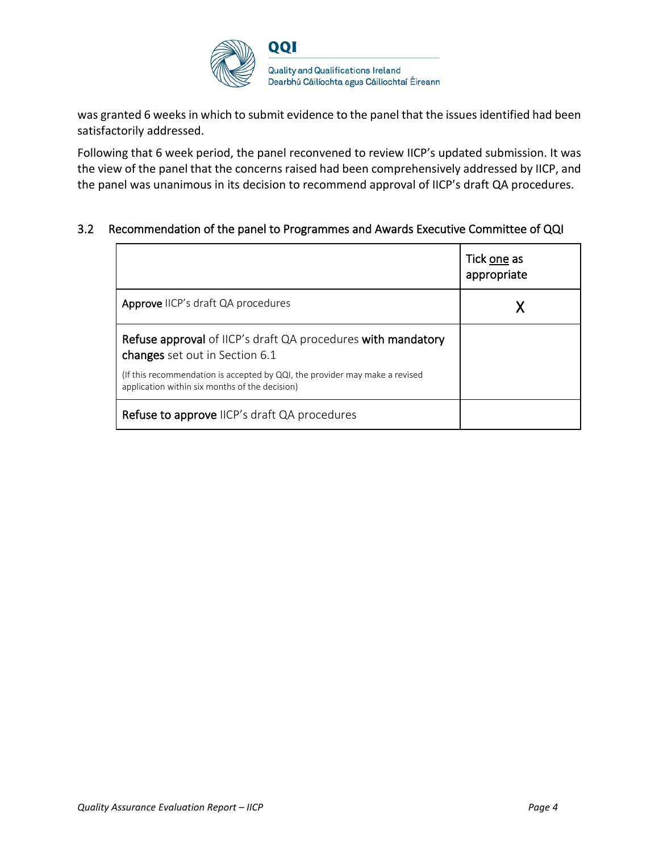

was granted 6 weeks in which to submit evidence to the panel that the issues identified had been satisfactorily addressed.

Following that 6 week period, the panel reconvened to review IICP's updated submission. It was the view of the panel that the concerns raised had been comprehensively addressed by IICP, and the panel was unanimous in its decision to recommend approval of IICP's draft QA procedures.

## 3.2 Recommendation of the panel to Programmes and Awards Executive Committee of QQI

|                                                                                                                               | Tick one as<br>appropriate |
|-------------------------------------------------------------------------------------------------------------------------------|----------------------------|
| Approve IICP's draft QA procedures                                                                                            |                            |
| Refuse approval of IICP's draft QA procedures with mandatory<br>changes set out in Section 6.1                                |                            |
| (If this recommendation is accepted by QQI, the provider may make a revised<br>application within six months of the decision) |                            |
| <b>Refuse to approve</b> IICP's draft QA procedures                                                                           |                            |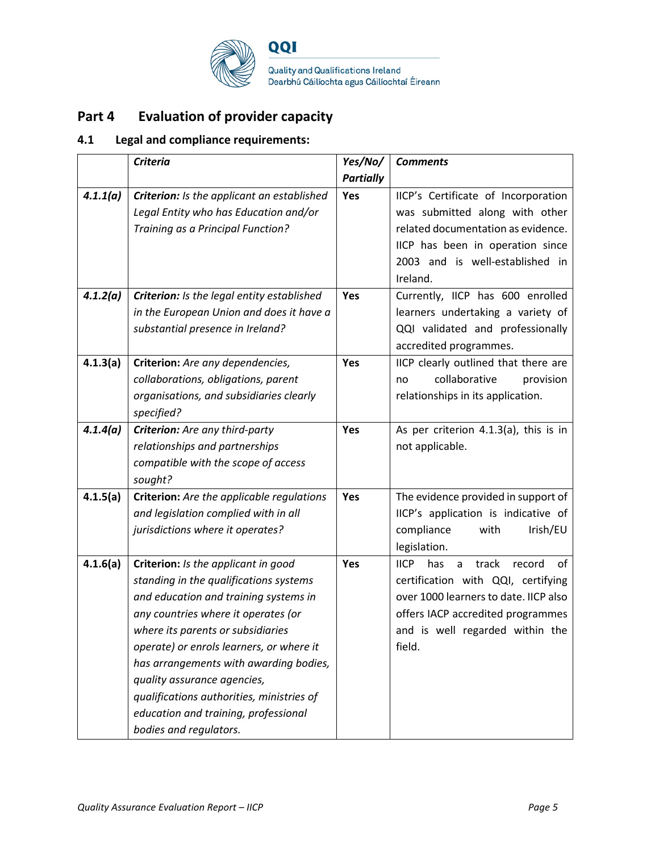

# **Part 4 Evaluation of provider capacity**

# **4.1 Legal and compliance requirements:**

|          | <b>Criteria</b>                            | Yes/No/          | <b>Comments</b>                                  |
|----------|--------------------------------------------|------------------|--------------------------------------------------|
|          |                                            | <b>Partially</b> |                                                  |
| 4.1.1(a) | Criterion: Is the applicant an established | Yes              | IICP's Certificate of Incorporation              |
|          | Legal Entity who has Education and/or      |                  | was submitted along with other                   |
|          | Training as a Principal Function?          |                  | related documentation as evidence.               |
|          |                                            |                  | IICP has been in operation since                 |
|          |                                            |                  | 2003 and is well-established in                  |
|          |                                            |                  | Ireland.                                         |
| 4.1.2(a) | Criterion: Is the legal entity established | Yes              | Currently, IICP has 600 enrolled                 |
|          | in the European Union and does it have a   |                  | learners undertaking a variety of                |
|          | substantial presence in Ireland?           |                  | QQI validated and professionally                 |
|          |                                            |                  | accredited programmes.                           |
| 4.1.3(a) | Criterion: Are any dependencies,           | Yes              | IICP clearly outlined that there are             |
|          | collaborations, obligations, parent        |                  | collaborative<br>provision<br>no                 |
|          | organisations, and subsidiaries clearly    |                  | relationships in its application.                |
|          | specified?                                 |                  |                                                  |
| 4.1.4(a) | Criterion: Are any third-party             | Yes              | As per criterion 4.1.3(a), this is in            |
|          | relationships and partnerships             |                  | not applicable.                                  |
|          | compatible with the scope of access        |                  |                                                  |
|          | sought?                                    |                  |                                                  |
| 4.1.5(a) | Criterion: Are the applicable regulations  | Yes              | The evidence provided in support of              |
|          | and legislation complied with in all       |                  | IICP's application is indicative of              |
|          | jurisdictions where it operates?           |                  | compliance<br>Irish/EU<br>with                   |
|          |                                            |                  | legislation.                                     |
| 4.1.6(a) | Criterion: Is the applicant in good        | Yes              | <b>IICP</b><br>has<br>a<br>track<br>record<br>οf |
|          | standing in the qualifications systems     |                  | certification with QQI, certifying               |
|          | and education and training systems in      |                  | over 1000 learners to date. IICP also            |
|          | any countries where it operates (or        |                  | offers IACP accredited programmes                |
|          | where its parents or subsidiaries          |                  | and is well regarded within the                  |
|          | operate) or enrols learners, or where it   |                  | field.                                           |
|          | has arrangements with awarding bodies,     |                  |                                                  |
|          | quality assurance agencies,                |                  |                                                  |
|          | qualifications authorities, ministries of  |                  |                                                  |
|          | education and training, professional       |                  |                                                  |
|          | bodies and regulators.                     |                  |                                                  |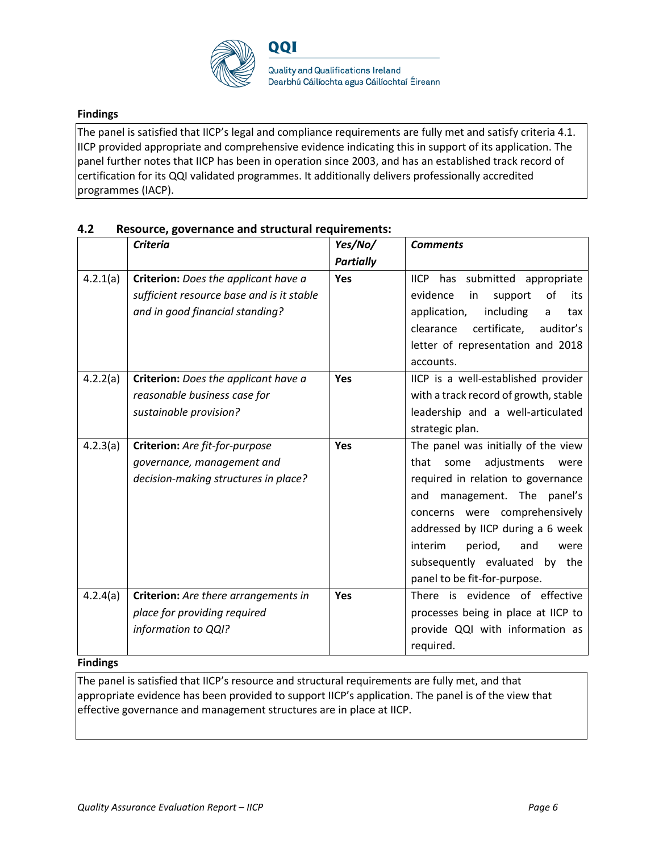

## **Findings**

The panel is satisfied that IICP's legal and compliance requirements are fully met and satisfy criteria 4.1. IICP provided appropriate and comprehensive evidence indicating this in support of its application. The panel further notes that IICP has been in operation since 2003, and has an established track record of certification for its QQI validated programmes. It additionally delivers professionally accredited programmes (IACP).

|          | <b>Criteria</b>                                                                                                      | Yes/No/          | <b>Comments</b>                                                                                                                                                                                                                                                                                                                |
|----------|----------------------------------------------------------------------------------------------------------------------|------------------|--------------------------------------------------------------------------------------------------------------------------------------------------------------------------------------------------------------------------------------------------------------------------------------------------------------------------------|
|          |                                                                                                                      | <b>Partially</b> |                                                                                                                                                                                                                                                                                                                                |
| 4.2.1(a) | Criterion: Does the applicant have a<br>sufficient resource base and is it stable<br>and in good financial standing? | <b>Yes</b>       | <b>IICP</b><br>has submitted appropriate<br>evidence<br>in<br>support<br>of<br>its<br>application,<br>including<br>tax<br>a<br>certificate,<br>auditor's<br>clearance<br>letter of representation and 2018<br>accounts.                                                                                                        |
| 4.2.2(a) | Criterion: Does the applicant have a<br>reasonable business case for<br>sustainable provision?                       | <b>Yes</b>       | IICP is a well-established provider<br>with a track record of growth, stable<br>leadership and a well-articulated<br>strategic plan.                                                                                                                                                                                           |
| 4.2.3(a) | Criterion: Are fit-for-purpose<br>governance, management and<br>decision-making structures in place?                 | Yes              | The panel was initially of the view<br>adjustments<br>that<br>some<br>were<br>required in relation to governance<br>management. The panel's<br>and<br>concerns were comprehensively<br>addressed by IICP during a 6 week<br>interim<br>period,<br>and<br>were<br>subsequently evaluated by the<br>panel to be fit-for-purpose. |
| 4.2.4(a) | Criterion: Are there arrangements in<br>place for providing required<br>information to QQI?                          | Yes              | There is evidence of effective<br>processes being in place at IICP to<br>provide QQI with information as<br>required.                                                                                                                                                                                                          |

### **4.2 Resource, governance and structural requirements:**

### **Findings**

The panel is satisfied that IICP's resource and structural requirements are fully met, and that appropriate evidence has been provided to support IICP's application. The panel is of the view that effective governance and management structures are in place at IICP.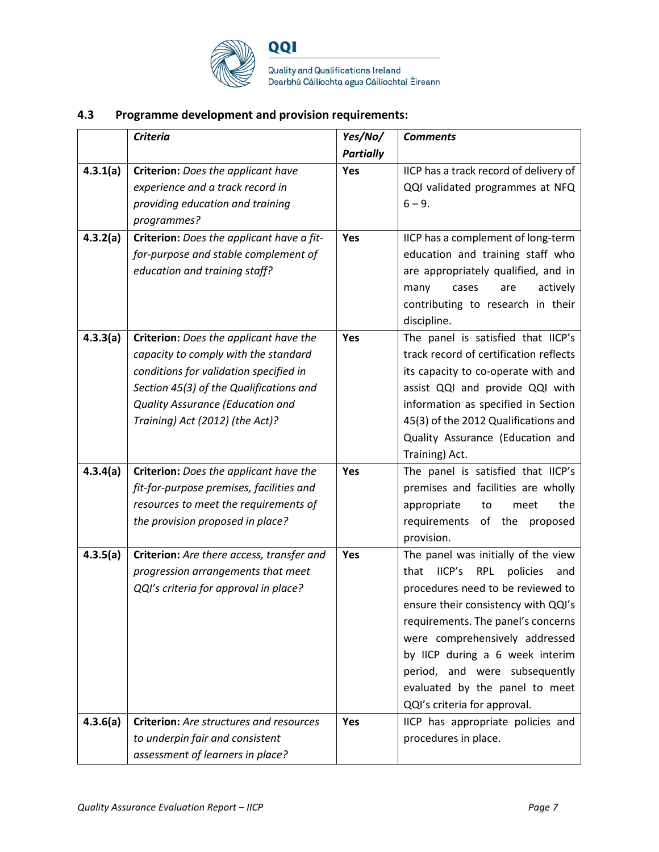

QQI

Quality and Qualifications Ireland<br>Dearbhú Cáilíochta agus Cáilíochtaí Éireann

# **4.3 Programme development and provision requirements:**

|          | <b>Criteria</b>                                | Yes/No/          | <b>Comments</b>                                 |
|----------|------------------------------------------------|------------------|-------------------------------------------------|
|          |                                                | <b>Partially</b> |                                                 |
| 4.3.1(a) | Criterion: Does the applicant have             | Yes              | IICP has a track record of delivery of          |
|          | experience and a track record in               |                  | QQI validated programmes at NFQ                 |
|          | providing education and training               |                  | $6 - 9.$                                        |
|          | programmes?                                    |                  |                                                 |
| 4.3.2(a) | Criterion: Does the applicant have a fit-      | Yes              | IICP has a complement of long-term              |
|          | for-purpose and stable complement of           |                  | education and training staff who                |
|          | education and training staff?                  |                  | are appropriately qualified, and in             |
|          |                                                |                  | actively<br>many<br>cases<br>are                |
|          |                                                |                  | contributing to research in their               |
|          |                                                |                  | discipline.                                     |
| 4.3.3(a) | Criterion: Does the applicant have the         | Yes              | The panel is satisfied that IICP's              |
|          | capacity to comply with the standard           |                  | track record of certification reflects          |
|          | conditions for validation specified in         |                  | its capacity to co-operate with and             |
|          | Section 45(3) of the Qualifications and        |                  | assist QQI and provide QQI with                 |
|          | Quality Assurance (Education and               |                  | information as specified in Section             |
|          | Training) Act (2012) (the Act)?                |                  | 45(3) of the 2012 Qualifications and            |
|          |                                                |                  | Quality Assurance (Education and                |
|          |                                                |                  | Training) Act.                                  |
| 4.3.4(a) | Criterion: Does the applicant have the         | Yes              | The panel is satisfied that IICP's              |
|          | fit-for-purpose premises, facilities and       |                  | premises and facilities are wholly              |
|          | resources to meet the requirements of          |                  | the<br>appropriate<br>to<br>meet                |
|          | the provision proposed in place?               |                  | of the proposed<br>requirements                 |
|          |                                                |                  | provision.                                      |
| 4.3.5(a) | Criterion: Are there access, transfer and      | Yes              | The panel was initially of the view             |
|          | progression arrangements that meet             |                  | that<br>lICP's<br><b>RPL</b><br>policies<br>and |
|          | QQI's criteria for approval in place?          |                  | procedures need to be reviewed to               |
|          |                                                |                  | ensure their consistency with QQI's             |
|          |                                                |                  | requirements. The panel's concerns              |
|          |                                                |                  | were comprehensively addressed                  |
|          |                                                |                  | by IICP during a 6 week interim                 |
|          |                                                |                  | period, and were subsequently                   |
|          |                                                |                  | evaluated by the panel to meet                  |
|          |                                                |                  | QQI's criteria for approval.                    |
| 4.3.6(a) | <b>Criterion:</b> Are structures and resources | <b>Yes</b>       | IICP has appropriate policies and               |
|          | to underpin fair and consistent                |                  | procedures in place.                            |
|          | assessment of learners in place?               |                  |                                                 |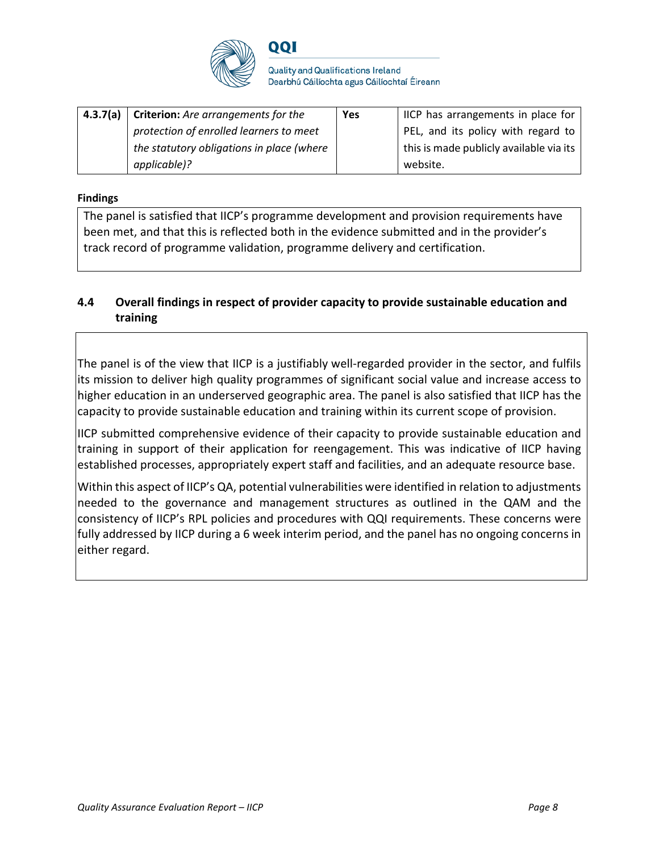

QQI

**Quality and Qualifications Ireland** Dearbhú Cáilíochta agus Cáilíochtaí Éireann

| <b>4.3.7(a)</b> Criterion: Are arrangements for the | Yes | IICP has arrangements in place for      |
|-----------------------------------------------------|-----|-----------------------------------------|
| protection of enrolled learners to meet             |     | PEL, and its policy with regard to      |
| the statutory obligations in place (where           |     | this is made publicly available via its |
| applicable)?                                        |     | website.                                |

## **Findings**

The panel is satisfied that IICP's programme development and provision requirements have been met, and that this is reflected both in the evidence submitted and in the provider's track record of programme validation, programme delivery and certification.

## **4.4 Overall findings in respect of provider capacity to provide sustainable education and training**

The panel is of the view that IICP is a justifiably well-regarded provider in the sector, and fulfils its mission to deliver high quality programmes of significant social value and increase access to higher education in an underserved geographic area. The panel is also satisfied that IICP has the capacity to provide sustainable education and training within its current scope of provision.

IICP submitted comprehensive evidence of their capacity to provide sustainable education and training in support of their application for reengagement. This was indicative of IICP having established processes, appropriately expert staff and facilities, and an adequate resource base.

Within this aspect of IICP's QA, potential vulnerabilities were identified in relation to adjustments needed to the governance and management structures as outlined in the QAM and the consistency of IICP's RPL policies and procedures with QQI requirements. These concerns were fully addressed by IICP during a 6 week interim period, and the panel has no ongoing concerns in either regard.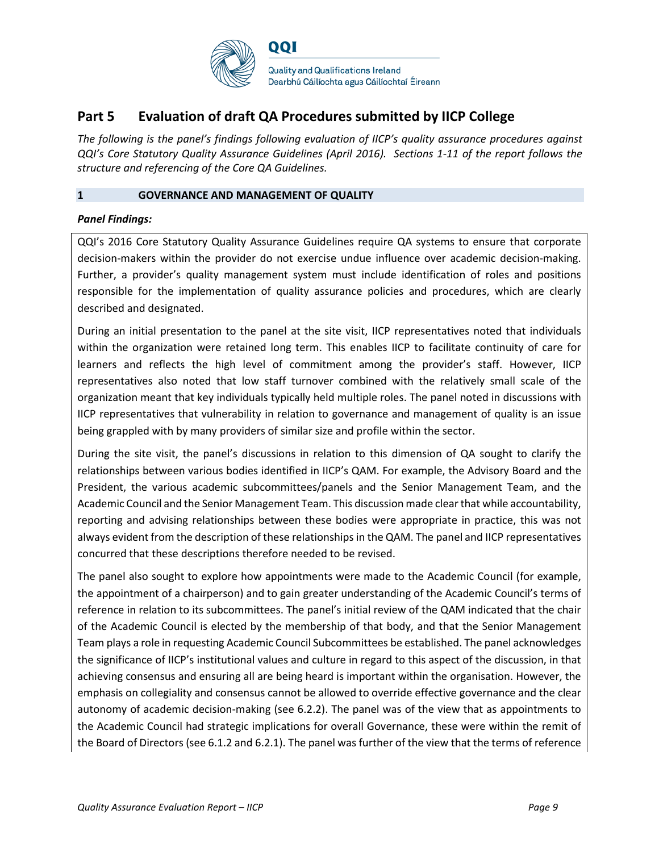

# **Part 5 Evaluation of draft QA Procedures submitted by IICP College**

*The following is the panel's findings following evaluation of IICP's quality assurance procedures against QQI's Core Statutory Quality Assurance Guidelines (April 2016). Sections 1-11 of the report follows the structure and referencing of the Core QA Guidelines.* 

### **1 GOVERNANCE AND MANAGEMENT OF QUALITY**

## *Panel Findings:*

QQI's 2016 Core Statutory Quality Assurance Guidelines require QA systems to ensure that corporate decision-makers within the provider do not exercise undue influence over academic decision-making. Further, a provider's quality management system must include identification of roles and positions responsible for the implementation of quality assurance policies and procedures, which are clearly described and designated.

During an initial presentation to the panel at the site visit, IICP representatives noted that individuals within the organization were retained long term. This enables IICP to facilitate continuity of care for learners and reflects the high level of commitment among the provider's staff. However, IICP representatives also noted that low staff turnover combined with the relatively small scale of the organization meant that key individuals typically held multiple roles. The panel noted in discussions with IICP representatives that vulnerability in relation to governance and management of quality is an issue being grappled with by many providers of similar size and profile within the sector.

During the site visit, the panel's discussions in relation to this dimension of QA sought to clarify the relationships between various bodies identified in IICP's QAM. For example, the Advisory Board and the President, the various academic subcommittees/panels and the Senior Management Team, and the Academic Council and the Senior Management Team. This discussion made clear that while accountability, reporting and advising relationships between these bodies were appropriate in practice, this was not always evident from the description of these relationships in the QAM. The panel and IICP representatives concurred that these descriptions therefore needed to be revised.

The panel also sought to explore how appointments were made to the Academic Council (for example, the appointment of a chairperson) and to gain greater understanding of the Academic Council's terms of reference in relation to its subcommittees. The panel's initial review of the QAM indicated that the chair of the Academic Council is elected by the membership of that body, and that the Senior Management Team plays a role in requesting Academic Council Subcommittees be established. The panel acknowledges the significance of IICP's institutional values and culture in regard to this aspect of the discussion, in that achieving consensus and ensuring all are being heard is important within the organisation. However, the emphasis on collegiality and consensus cannot be allowed to override effective governance and the clear autonomy of academic decision-making (see 6.2.2). The panel was of the view that as appointments to the Academic Council had strategic implications for overall Governance, these were within the remit of the Board of Directors (see 6.1.2 and 6.2.1). The panel was further of the view that the terms of reference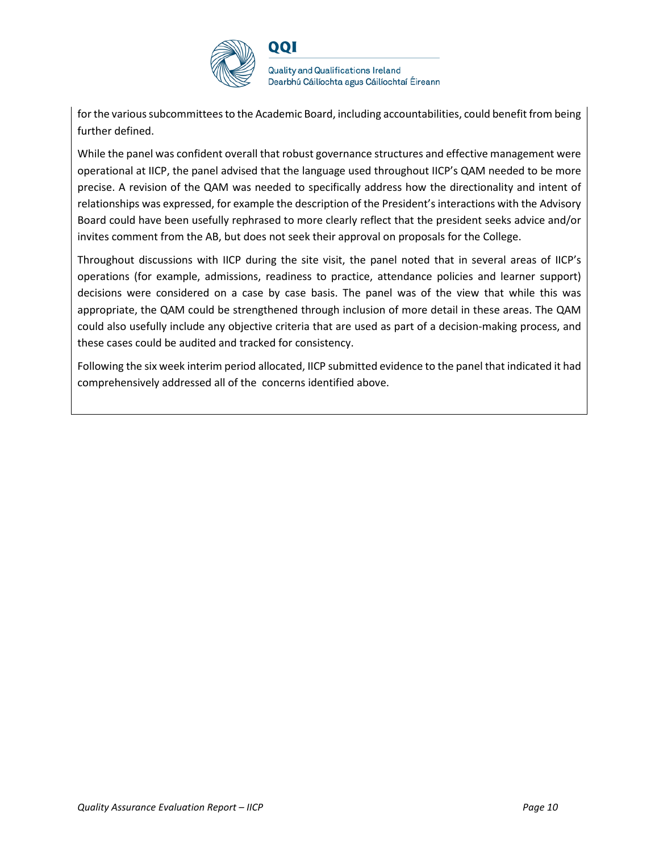

**Quality and Qualifications Ireland** Dearbhú Cáilíochta agus Cáilíochtaí Éireann

for the various subcommittees to the Academic Board, including accountabilities, could benefit from being further defined.

While the panel was confident overall that robust governance structures and effective management were operational at IICP, the panel advised that the language used throughout IICP's QAM needed to be more precise. A revision of the QAM was needed to specifically address how the directionality and intent of relationships was expressed, for example the description of the President's interactions with the Advisory Board could have been usefully rephrased to more clearly reflect that the president seeks advice and/or invites comment from the AB, but does not seek their approval on proposals for the College.

Throughout discussions with IICP during the site visit, the panel noted that in several areas of IICP's operations (for example, admissions, readiness to practice, attendance policies and learner support) decisions were considered on a case by case basis. The panel was of the view that while this was appropriate, the QAM could be strengthened through inclusion of more detail in these areas. The QAM could also usefully include any objective criteria that are used as part of a decision-making process, and these cases could be audited and tracked for consistency.

Following the six week interim period allocated, IICP submitted evidence to the panel that indicated it had comprehensively addressed all of the concerns identified above.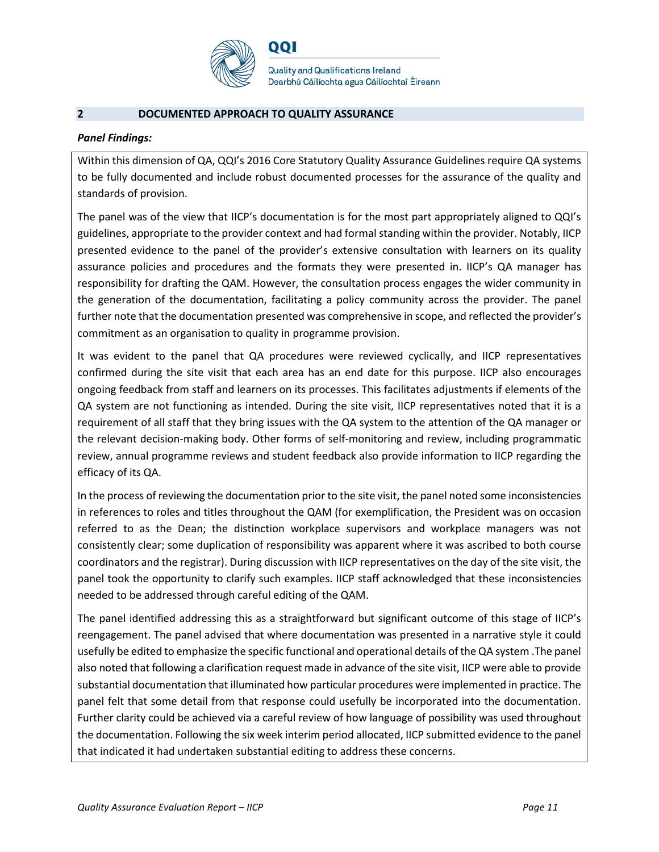

**Quality and Qualifications Ireland** Dearbhú Cáilíochta agus Cáilíochtaí Éireann

### **2 DOCUMENTED APPROACH TO QUALITY ASSURANCE**

#### *Panel Findings:*

Within this dimension of QA, QQI's 2016 Core Statutory Quality Assurance Guidelines require QA systems to be fully documented and include robust documented processes for the assurance of the quality and standards of provision.

The panel was of the view that IICP's documentation is for the most part appropriately aligned to QQI's guidelines, appropriate to the provider context and had formal standing within the provider. Notably, IICP presented evidence to the panel of the provider's extensive consultation with learners on its quality assurance policies and procedures and the formats they were presented in. IICP's QA manager has responsibility for drafting the QAM. However, the consultation process engages the wider community in the generation of the documentation, facilitating a policy community across the provider. The panel further note that the documentation presented was comprehensive in scope, and reflected the provider's commitment as an organisation to quality in programme provision.

It was evident to the panel that QA procedures were reviewed cyclically, and IICP representatives confirmed during the site visit that each area has an end date for this purpose. IICP also encourages ongoing feedback from staff and learners on its processes. This facilitates adjustments if elements of the QA system are not functioning as intended. During the site visit, IICP representatives noted that it is a requirement of all staff that they bring issues with the QA system to the attention of the QA manager or the relevant decision-making body. Other forms of self-monitoring and review, including programmatic review, annual programme reviews and student feedback also provide information to IICP regarding the efficacy of its QA.

In the process of reviewing the documentation prior to the site visit, the panel noted some inconsistencies in references to roles and titles throughout the QAM (for exemplification, the President was on occasion referred to as the Dean; the distinction workplace supervisors and workplace managers was not consistently clear; some duplication of responsibility was apparent where it was ascribed to both course coordinators and the registrar). During discussion with IICP representatives on the day of the site visit, the panel took the opportunity to clarify such examples. IICP staff acknowledged that these inconsistencies needed to be addressed through careful editing of the QAM.

The panel identified addressing this as a straightforward but significant outcome of this stage of IICP's reengagement. The panel advised that where documentation was presented in a narrative style it could usefully be edited to emphasize the specific functional and operational details of the QA system .The panel also noted that following a clarification request made in advance of the site visit, IICP were able to provide substantial documentation that illuminated how particular procedures were implemented in practice. The panel felt that some detail from that response could usefully be incorporated into the documentation. Further clarity could be achieved via a careful review of how language of possibility was used throughout the documentation. Following the six week interim period allocated, IICP submitted evidence to the panel that indicated it had undertaken substantial editing to address these concerns.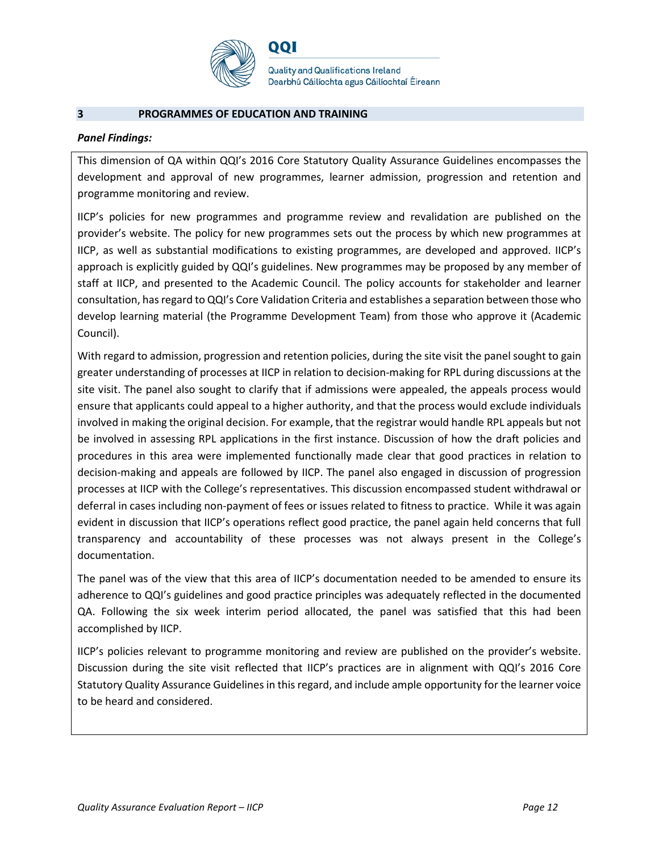

QQI

**Quality and Qualifications Ireland** Dearbhú Cáilíochta agus Cáilíochtaí Éireann

#### **3 PROGRAMMES OF EDUCATION AND TRAINING**

#### *Panel Findings:*

This dimension of QA within QQI's 2016 Core Statutory Quality Assurance Guidelines encompasses the development and approval of new programmes, learner admission, progression and retention and programme monitoring and review.

IICP's policies for new programmes and programme review and revalidation are published on the provider's website. The policy for new programmes sets out the process by which new programmes at IICP, as well as substantial modifications to existing programmes, are developed and approved. IICP's approach is explicitly guided by QQI's guidelines. New programmes may be proposed by any member of staff at IICP, and presented to the Academic Council. The policy accounts for stakeholder and learner consultation, has regard to QQI's Core Validation Criteria and establishes a separation between those who develop learning material (the Programme Development Team) from those who approve it (Academic Council).

With regard to admission, progression and retention policies, during the site visit the panel sought to gain greater understanding of processes at IICP in relation to decision-making for RPL during discussions at the site visit. The panel also sought to clarify that if admissions were appealed, the appeals process would ensure that applicants could appeal to a higher authority, and that the process would exclude individuals involved in making the original decision. For example, that the registrar would handle RPL appeals but not be involved in assessing RPL applications in the first instance. Discussion of how the draft policies and procedures in this area were implemented functionally made clear that good practices in relation to decision-making and appeals are followed by IICP. The panel also engaged in discussion of progression processes at IICP with the College's representatives. This discussion encompassed student withdrawal or deferral in cases including non-payment of fees or issues related to fitness to practice. While it was again evident in discussion that IICP's operations reflect good practice, the panel again held concerns that full transparency and accountability of these processes was not always present in the College's documentation.

The panel was of the view that this area of IICP's documentation needed to be amended to ensure its adherence to QQI's guidelines and good practice principles was adequately reflected in the documented QA. Following the six week interim period allocated, the panel was satisfied that this had been accomplished by IICP.

IICP's policies relevant to programme monitoring and review are published on the provider's website. Discussion during the site visit reflected that IICP's practices are in alignment with QQI's 2016 Core Statutory Quality Assurance Guidelines in this regard, and include ample opportunity for the learner voice to be heard and considered.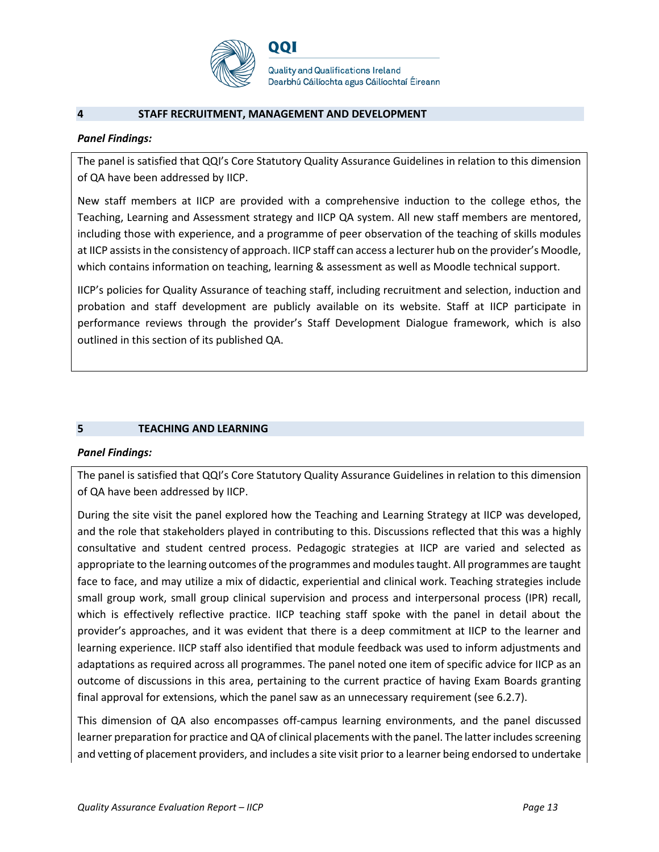

## **4 STAFF RECRUITMENT, MANAGEMENT AND DEVELOPMENT**

## *Panel Findings:*

The panel is satisfied that QQI's Core Statutory Quality Assurance Guidelines in relation to this dimension of QA have been addressed by IICP.

New staff members at IICP are provided with a comprehensive induction to the college ethos, the Teaching, Learning and Assessment strategy and IICP QA system. All new staff members are mentored, including those with experience, and a programme of peer observation of the teaching of skills modules at IICP assists in the consistency of approach. IICP staff can access a lecturer hub on the provider's Moodle, which contains information on teaching, learning & assessment as well as Moodle technical support.

IICP's policies for Quality Assurance of teaching staff, including recruitment and selection, induction and probation and staff development are publicly available on its website. Staff at IICP participate in performance reviews through the provider's Staff Development Dialogue framework, which is also outlined in this section of its published QA.

## **5 TEACHING AND LEARNING**

## *Panel Findings:*

The panel is satisfied that QQI's Core Statutory Quality Assurance Guidelines in relation to this dimension of QA have been addressed by IICP.

During the site visit the panel explored how the Teaching and Learning Strategy at IICP was developed, and the role that stakeholders played in contributing to this. Discussions reflected that this was a highly consultative and student centred process. Pedagogic strategies at IICP are varied and selected as appropriate to the learning outcomes of the programmes and modules taught. All programmes are taught face to face, and may utilize a mix of didactic, experiential and clinical work. Teaching strategies include small group work, small group clinical supervision and process and interpersonal process (IPR) recall, which is effectively reflective practice. IICP teaching staff spoke with the panel in detail about the provider's approaches, and it was evident that there is a deep commitment at IICP to the learner and learning experience. IICP staff also identified that module feedback was used to inform adjustments and adaptations as required across all programmes. The panel noted one item of specific advice for IICP as an outcome of discussions in this area, pertaining to the current practice of having Exam Boards granting final approval for extensions, which the panel saw as an unnecessary requirement (see 6.2.7).

This dimension of QA also encompasses off-campus learning environments, and the panel discussed learner preparation for practice and QA of clinical placements with the panel. The latter includes screening and vetting of placement providers, and includes a site visit prior to a learner being endorsed to undertake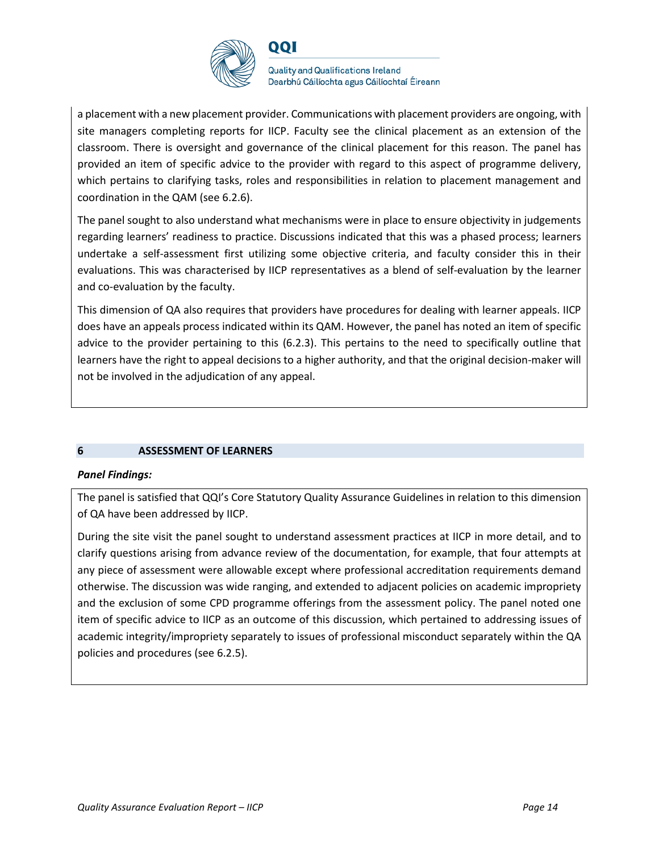

QQI

**Quality and Qualifications Ireland** Dearbhú Cáilíochta agus Cáilíochtaí Éireann

a placement with a new placement provider. Communications with placement providers are ongoing, with site managers completing reports for IICP. Faculty see the clinical placement as an extension of the classroom. There is oversight and governance of the clinical placement for this reason. The panel has provided an item of specific advice to the provider with regard to this aspect of programme delivery, which pertains to clarifying tasks, roles and responsibilities in relation to placement management and coordination in the QAM (see 6.2.6).

The panel sought to also understand what mechanisms were in place to ensure objectivity in judgements regarding learners' readiness to practice. Discussions indicated that this was a phased process; learners undertake a self-assessment first utilizing some objective criteria, and faculty consider this in their evaluations. This was characterised by IICP representatives as a blend of self-evaluation by the learner and co-evaluation by the faculty.

This dimension of QA also requires that providers have procedures for dealing with learner appeals. IICP does have an appeals process indicated within its QAM. However, the panel has noted an item of specific advice to the provider pertaining to this (6.2.3). This pertains to the need to specifically outline that learners have the right to appeal decisions to a higher authority, and that the original decision-maker will not be involved in the adjudication of any appeal.

## **6 ASSESSMENT OF LEARNERS**

## *Panel Findings:*

The panel is satisfied that QQI's Core Statutory Quality Assurance Guidelines in relation to this dimension of QA have been addressed by IICP.

During the site visit the panel sought to understand assessment practices at IICP in more detail, and to clarify questions arising from advance review of the documentation, for example, that four attempts at any piece of assessment were allowable except where professional accreditation requirements demand otherwise. The discussion was wide ranging, and extended to adjacent policies on academic impropriety and the exclusion of some CPD programme offerings from the assessment policy. The panel noted one item of specific advice to IICP as an outcome of this discussion, which pertained to addressing issues of academic integrity/impropriety separately to issues of professional misconduct separately within the QA policies and procedures (see 6.2.5).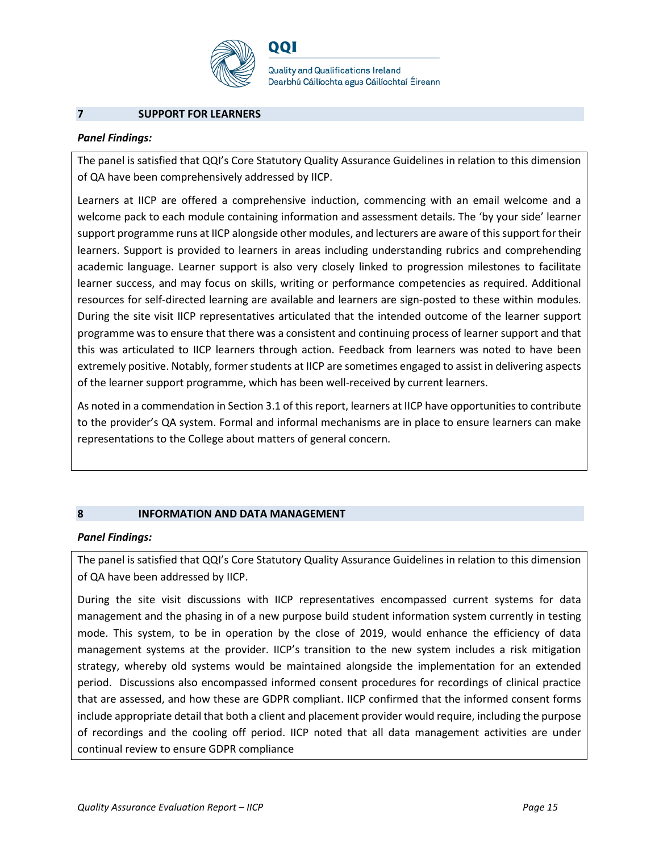

QQI

**Quality and Qualifications Ireland** Dearbhú Cáilíochta agus Cáilíochtaí Éireann

#### **7 SUPPORT FOR LEARNERS**

#### *Panel Findings:*

The panel is satisfied that QQI's Core Statutory Quality Assurance Guidelines in relation to this dimension of QA have been comprehensively addressed by IICP.

Learners at IICP are offered a comprehensive induction, commencing with an email welcome and a welcome pack to each module containing information and assessment details. The 'by your side' learner support programme runs at IICP alongside other modules, and lecturers are aware of this support for their learners. Support is provided to learners in areas including understanding rubrics and comprehending academic language. Learner support is also very closely linked to progression milestones to facilitate learner success, and may focus on skills, writing or performance competencies as required. Additional resources for self-directed learning are available and learners are sign-posted to these within modules. During the site visit IICP representatives articulated that the intended outcome of the learner support programme was to ensure that there was a consistent and continuing process of learner support and that this was articulated to IICP learners through action. Feedback from learners was noted to have been extremely positive. Notably, former students at IICP are sometimes engaged to assist in delivering aspects of the learner support programme, which has been well-received by current learners.

As noted in a commendation in Section 3.1 of this report, learners at IICP have opportunities to contribute to the provider's QA system. Formal and informal mechanisms are in place to ensure learners can make representations to the College about matters of general concern.

## **8 INFORMATION AND DATA MANAGEMENT**

#### *Panel Findings:*

The panel is satisfied that QQI's Core Statutory Quality Assurance Guidelines in relation to this dimension of QA have been addressed by IICP.

During the site visit discussions with IICP representatives encompassed current systems for data management and the phasing in of a new purpose build student information system currently in testing mode. This system, to be in operation by the close of 2019, would enhance the efficiency of data management systems at the provider. IICP's transition to the new system includes a risk mitigation strategy, whereby old systems would be maintained alongside the implementation for an extended period. Discussions also encompassed informed consent procedures for recordings of clinical practice that are assessed, and how these are GDPR compliant. IICP confirmed that the informed consent forms include appropriate detail that both a client and placement provider would require, including the purpose of recordings and the cooling off period. IICP noted that all data management activities are under continual review to ensure GDPR compliance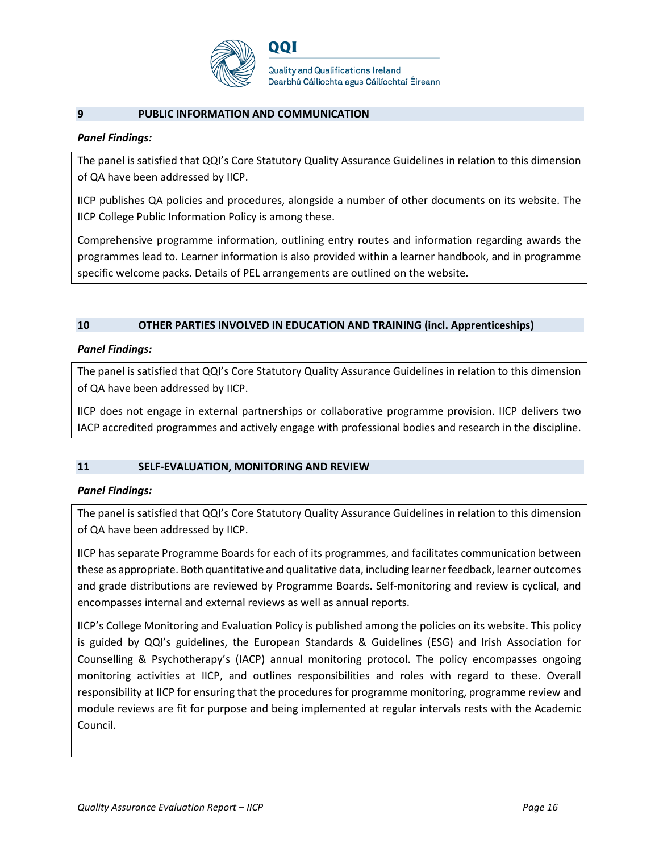

#### **9 PUBLIC INFORMATION AND COMMUNICATION**

#### *Panel Findings:*

The panel is satisfied that QQI's Core Statutory Quality Assurance Guidelines in relation to this dimension of QA have been addressed by IICP.

IICP publishes QA policies and procedures, alongside a number of other documents on its website. The IICP College Public Information Policy is among these.

Comprehensive programme information, outlining entry routes and information regarding awards the programmes lead to. Learner information is also provided within a learner handbook, and in programme specific welcome packs. Details of PEL arrangements are outlined on the website.

## **10 OTHER PARTIES INVOLVED IN EDUCATION AND TRAINING (incl. Apprenticeships)**

#### *Panel Findings:*

The panel is satisfied that QQI's Core Statutory Quality Assurance Guidelines in relation to this dimension of QA have been addressed by IICP.

IICP does not engage in external partnerships or collaborative programme provision. IICP delivers two IACP accredited programmes and actively engage with professional bodies and research in the discipline.

## **11 SELF-EVALUATION, MONITORING AND REVIEW**

#### *Panel Findings:*

The panel is satisfied that QQI's Core Statutory Quality Assurance Guidelines in relation to this dimension of QA have been addressed by IICP.

IICP has separate Programme Boards for each of its programmes, and facilitates communication between these as appropriate. Both quantitative and qualitative data, including learner feedback, learner outcomes and grade distributions are reviewed by Programme Boards. Self-monitoring and review is cyclical, and encompasses internal and external reviews as well as annual reports.

IICP's College Monitoring and Evaluation Policy is published among the policies on its website. This policy is guided by QQI's guidelines, the European Standards & Guidelines (ESG) and Irish Association for Counselling & Psychotherapy's (IACP) annual monitoring protocol. The policy encompasses ongoing monitoring activities at IICP, and outlines responsibilities and roles with regard to these. Overall responsibility at IICP for ensuring that the procedures for programme monitoring, programme review and module reviews are fit for purpose and being implemented at regular intervals rests with the Academic Council.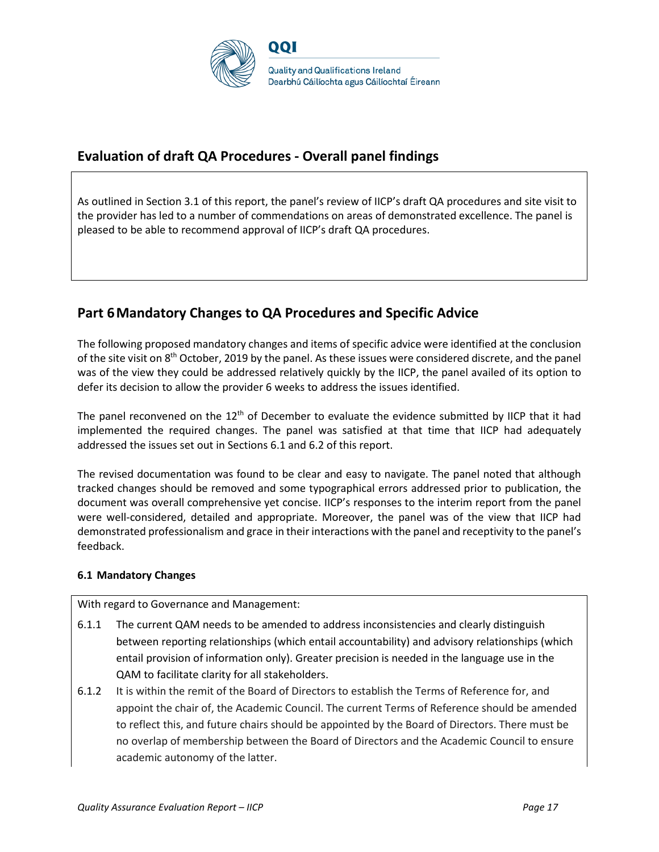

# **Evaluation of draft QA Procedures - Overall panel findings**

As outlined in Section 3.1 of this report, the panel's review of IICP's draft QA procedures and site visit to the provider has led to a number of commendations on areas of demonstrated excellence. The panel is pleased to be able to recommend approval of IICP's draft QA procedures.

# **Part 6Mandatory Changes to QA Procedures and Specific Advice**

The following proposed mandatory changes and items of specific advice were identified at the conclusion of the site visit on 8<sup>th</sup> October, 2019 by the panel. As these issues were considered discrete, and the panel was of the view they could be addressed relatively quickly by the IICP, the panel availed of its option to defer its decision to allow the provider 6 weeks to address the issues identified.

The panel reconvened on the  $12<sup>th</sup>$  of December to evaluate the evidence submitted by IICP that it had implemented the required changes. The panel was satisfied at that time that IICP had adequately addressed the issues set out in Sections 6.1 and 6.2 of this report.

The revised documentation was found to be clear and easy to navigate. The panel noted that although tracked changes should be removed and some typographical errors addressed prior to publication, the document was overall comprehensive yet concise. IICP's responses to the interim report from the panel were well-considered, detailed and appropriate. Moreover, the panel was of the view that IICP had demonstrated professionalism and grace in their interactions with the panel and receptivity to the panel's feedback.

## **6.1 Mandatory Changes**

With regard to Governance and Management:

- 6.1.1 The current QAM needs to be amended to address inconsistencies and clearly distinguish between reporting relationships (which entail accountability) and advisory relationships (which entail provision of information only). Greater precision is needed in the language use in the QAM to facilitate clarity for all stakeholders.
- 6.1.2 It is within the remit of the Board of Directors to establish the Terms of Reference for, and appoint the chair of, the Academic Council. The current Terms of Reference should be amended to reflect this, and future chairs should be appointed by the Board of Directors. There must be no overlap of membership between the Board of Directors and the Academic Council to ensure academic autonomy of the latter.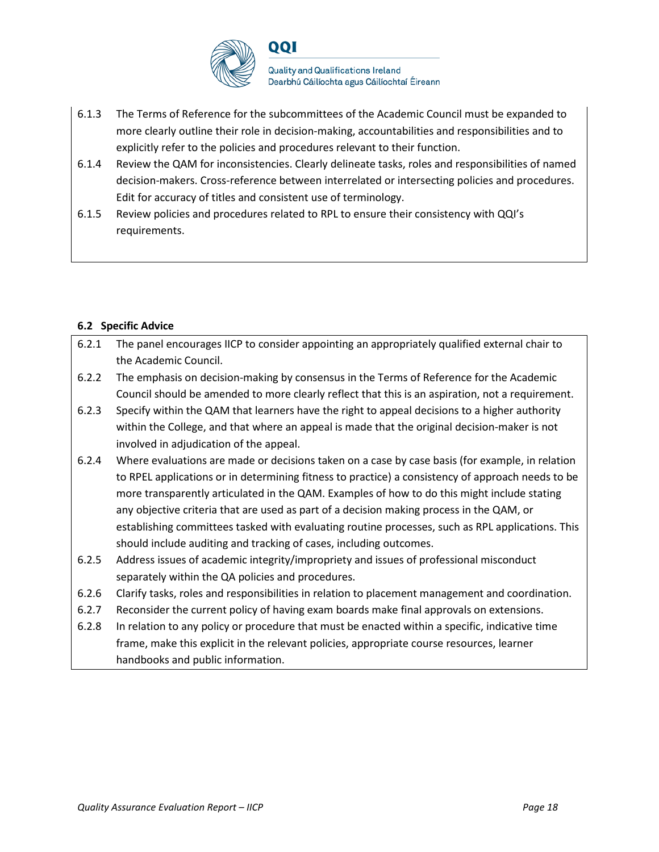

- 6.1.3 The Terms of Reference for the subcommittees of the Academic Council must be expanded to more clearly outline their role in decision-making, accountabilities and responsibilities and to explicitly refer to the policies and procedures relevant to their function.
- 6.1.4 Review the QAM for inconsistencies. Clearly delineate tasks, roles and responsibilities of named decision-makers. Cross-reference between interrelated or intersecting policies and procedures. Edit for accuracy of titles and consistent use of terminology.
- 6.1.5 Review policies and procedures related to RPL to ensure their consistency with QQI's requirements.

## **6.2 Specific Advice**

| 6.2.1 | The panel encourages IICP to consider appointing an appropriately qualified external chair to     |
|-------|---------------------------------------------------------------------------------------------------|
|       | the Academic Council.                                                                             |
| 6.2.2 | The emphasis on decision-making by consensus in the Terms of Reference for the Academic           |
|       | Council should be amended to more clearly reflect that this is an aspiration, not a requirement.  |
| 6.2.3 | Specify within the QAM that learners have the right to appeal decisions to a higher authority     |
|       | within the College, and that where an appeal is made that the original decision-maker is not      |
|       | involved in adjudication of the appeal.                                                           |
| 6.2.4 | Where evaluations are made or decisions taken on a case by case basis (for example, in relation   |
|       | to RPEL applications or in determining fitness to practice) a consistency of approach needs to be |
|       | more transparently articulated in the QAM. Examples of how to do this might include stating       |
|       | any objective criteria that are used as part of a decision making process in the QAM, or          |
|       | establishing committees tasked with evaluating routine processes, such as RPL applications. This  |
|       | should include auditing and tracking of cases, including outcomes.                                |
| 6.2.5 | Address issues of academic integrity/impropriety and issues of professional misconduct            |
|       | separately within the QA policies and procedures.                                                 |
|       |                                                                                                   |

- 6.2.6 Clarify tasks, roles and responsibilities in relation to placement management and coordination.
- 6.2.7 Reconsider the current policy of having exam boards make final approvals on extensions.
- 6.2.8 In relation to any policy or procedure that must be enacted within a specific, indicative time frame, make this explicit in the relevant policies, appropriate course resources, learner handbooks and public information.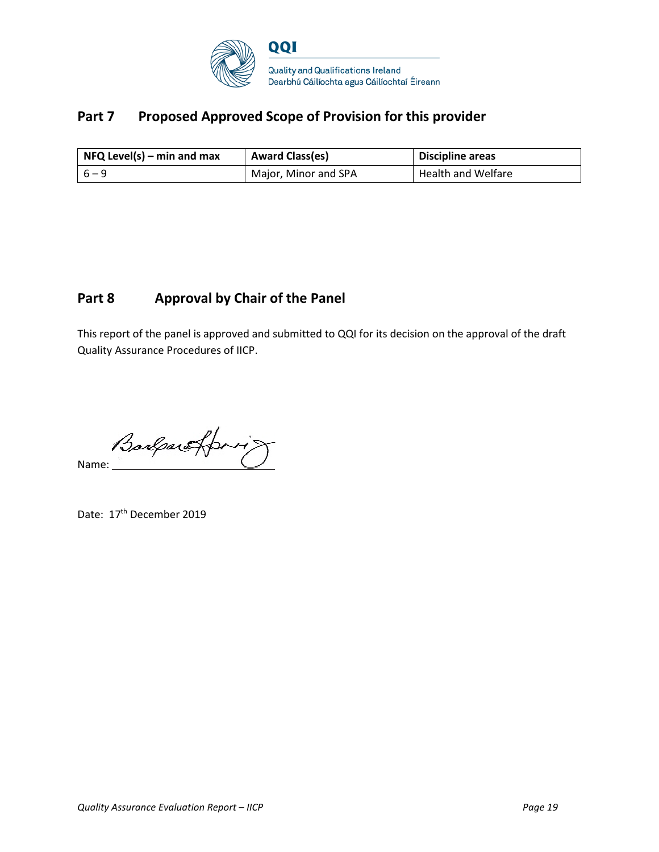

# Part 7 Proposed Approved Scope of Provision for this provider

| $NFA$ Level(s) – min and max | <b>Award Class(es)</b> | <b>Discipline areas</b>   |
|------------------------------|------------------------|---------------------------|
| $6 - 9$                      | Major, Minor and SPA   | <b>Health and Welfare</b> |

# **Part 8 Approval by Chair of the Panel**

This report of the panel is approved and submitted to QQI for its decision on the approval of the draft Quality Assurance Procedures of IICP.

**Barlaw fform** 

Date: 17<sup>th</sup> December 2019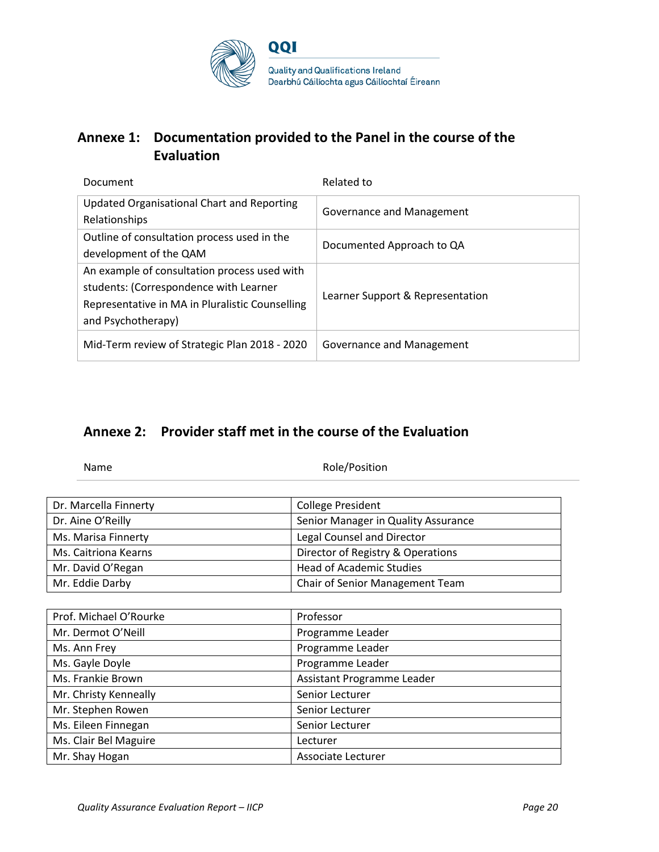

# **Annexe 1: Documentation provided to the Panel in the course of the Evaluation**

| Document                                                                                                                                                        | Related to                       |
|-----------------------------------------------------------------------------------------------------------------------------------------------------------------|----------------------------------|
| <b>Updated Organisational Chart and Reporting</b><br>Relationships                                                                                              | Governance and Management        |
| Outline of consultation process used in the<br>development of the QAM                                                                                           | Documented Approach to QA        |
| An example of consultation process used with<br>students: (Correspondence with Learner<br>Representative in MA in Pluralistic Counselling<br>and Psychotherapy) | Learner Support & Representation |
| Mid-Term review of Strategic Plan 2018 - 2020                                                                                                                   | Governance and Management        |

# **Annexe 2: Provider staff met in the course of the Evaluation**

Name Role/Position

| Dr. Marcella Finnerty | <b>College President</b>            |
|-----------------------|-------------------------------------|
| Dr. Aine O'Reilly     | Senior Manager in Quality Assurance |
| Ms. Marisa Finnerty   | Legal Counsel and Director          |
| Ms. Caitriona Kearns  | Director of Registry & Operations   |
| Mr. David O'Regan     | <b>Head of Academic Studies</b>     |
| Mr. Eddie Darby       | Chair of Senior Management Team     |

| Prof. Michael O'Rourke | Professor                  |
|------------------------|----------------------------|
| Mr. Dermot O'Neill     | Programme Leader           |
| Ms. Ann Frey           | Programme Leader           |
| Ms. Gayle Doyle        | Programme Leader           |
| Ms. Frankie Brown      | Assistant Programme Leader |
| Mr. Christy Kenneally  | Senior Lecturer            |
| Mr. Stephen Rowen      | Senior Lecturer            |
| Ms. Eileen Finnegan    | Senior Lecturer            |
| Ms. Clair Bel Maguire  | Lecturer                   |
| Mr. Shay Hogan         | Associate Lecturer         |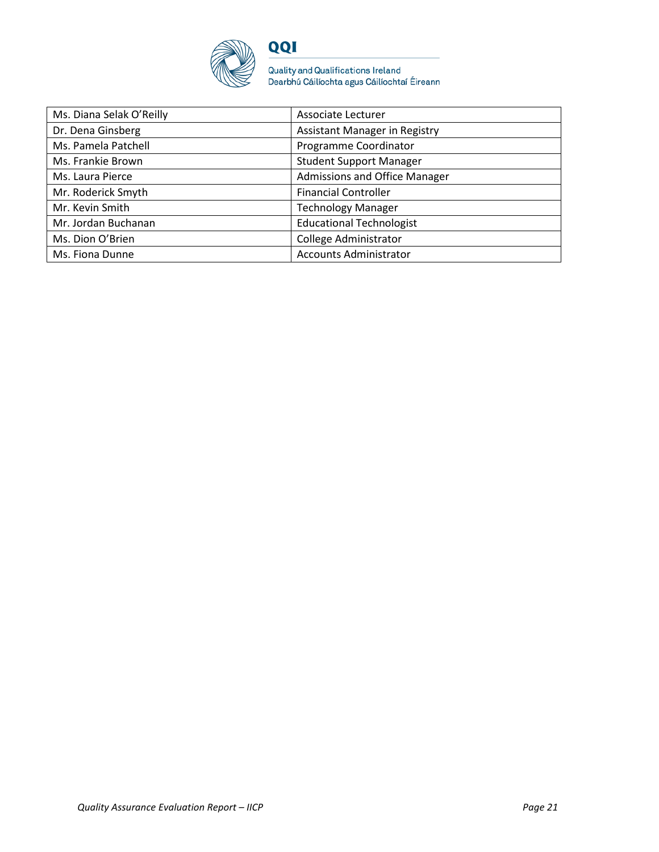

Quality and Qualifications Ireland<br>Dearbhú Cáilíochta agus Cáilíochtaí Éireann

| Ms. Diana Selak O'Reilly | Associate Lecturer              |
|--------------------------|---------------------------------|
| Dr. Dena Ginsberg        | Assistant Manager in Registry   |
| Ms. Pamela Patchell      | Programme Coordinator           |
| Ms. Frankie Brown        | <b>Student Support Manager</b>  |
| Ms. Laura Pierce         | Admissions and Office Manager   |
| Mr. Roderick Smyth       | <b>Financial Controller</b>     |
| Mr. Kevin Smith          | <b>Technology Manager</b>       |
| Mr. Jordan Buchanan      | <b>Educational Technologist</b> |
| Ms. Dion O'Brien         | College Administrator           |
| Ms. Fiona Dunne          | <b>Accounts Administrator</b>   |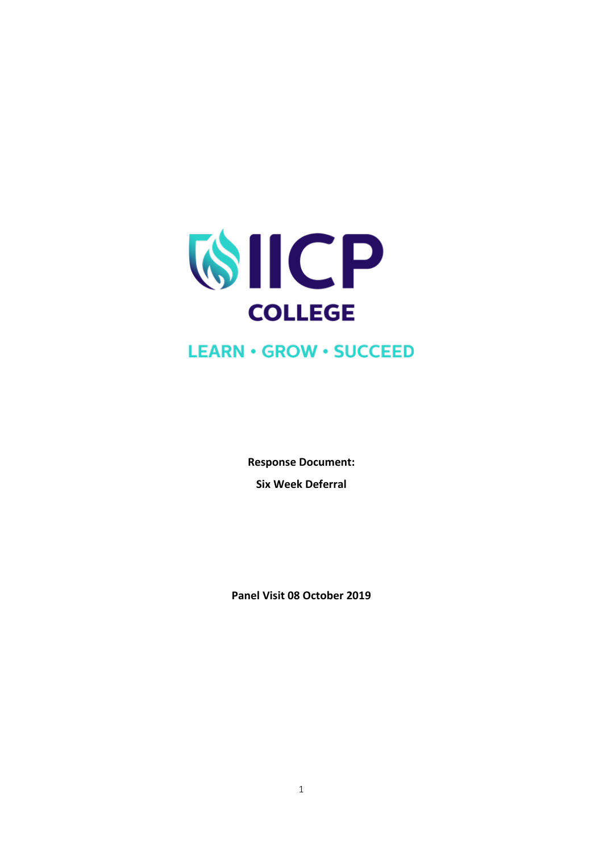

# **LEARN · GROW · SUCCEED**

**Response Document: Six Week Deferral** 

**Panel Visit 08 October 2019**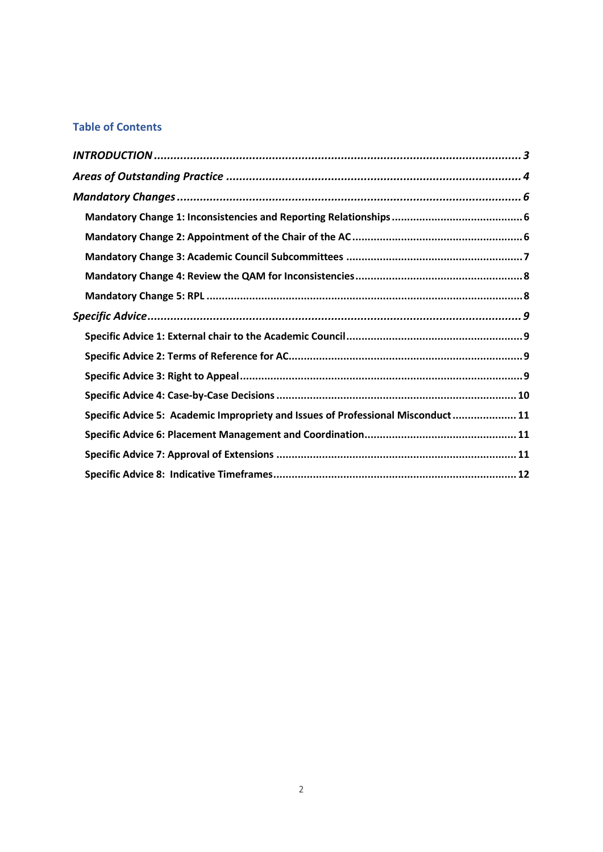## **Table of Contents**

| Specific Advice 5: Academic Impropriety and Issues of Professional Misconduct 11 |  |
|----------------------------------------------------------------------------------|--|
|                                                                                  |  |
|                                                                                  |  |
|                                                                                  |  |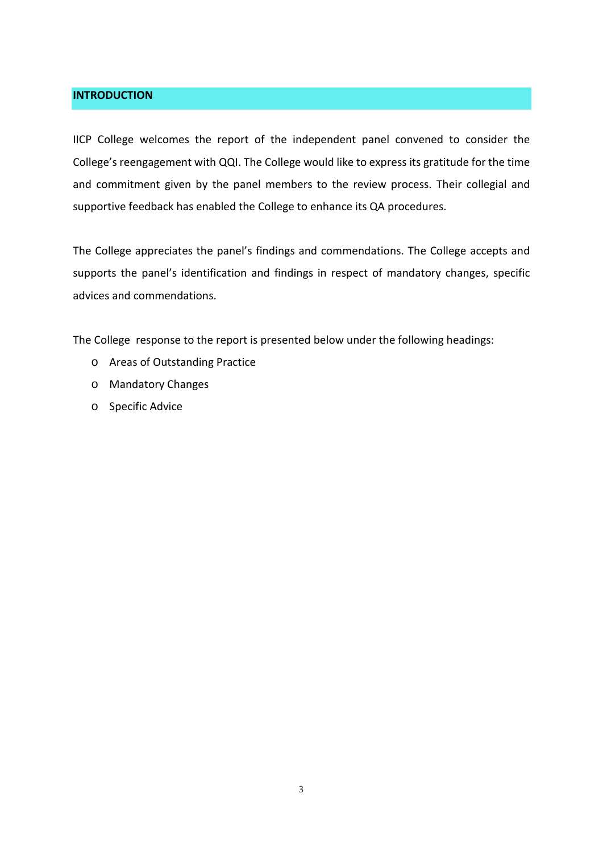## <span id="page-23-0"></span>**INTRODUCTION**

IICP College welcomes the report of the independent panel convened to consider the College's reengagement with QQI. The College would like to express its gratitude for the time and commitment given by the panel members to the review process. Their collegial and supportive feedback has enabled the College to enhance its QA procedures.

The College appreciates the panel's findings and commendations. The College accepts and supports the panel's identification and findings in respect of mandatory changes, specific advices and commendations.

The College response to the report is presented below under the following headings:

- o Areas of Outstanding Practice
- o Mandatory Changes
- o Specific Advice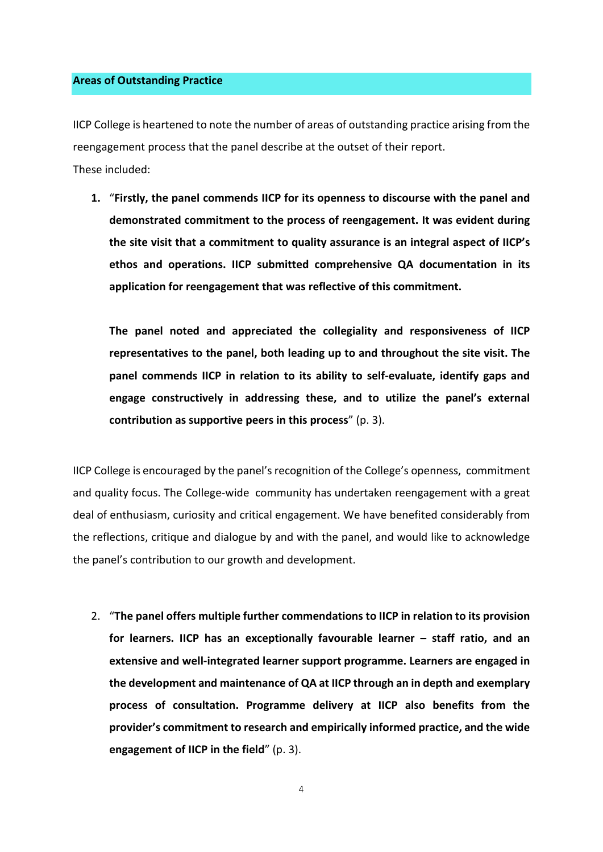## <span id="page-24-0"></span>**Areas of Outstanding Practice**

IICP College is heartened to note the number of areas of outstanding practice arising from the reengagement process that the panel describe at the outset of their report. These included:

**1.** "**Firstly, the panel commends IICP for its openness to discourse with the panel and demonstrated commitment to the process of reengagement. It was evident during the site visit that a commitment to quality assurance is an integral aspect of IICP's ethos and operations. IICP submitted comprehensive QA documentation in its application for reengagement that was reflective of this commitment.**

**The panel noted and appreciated the collegiality and responsiveness of IICP representatives to the panel, both leading up to and throughout the site visit. The panel commends IICP in relation to its ability to self-evaluate, identify gaps and engage constructively in addressing these, and to utilize the panel's external contribution as supportive peers in this process**" (p. 3).

IICP College is encouraged by the panel's recognition of the College's openness, commitment and quality focus. The College-wide community has undertaken reengagement with a great deal of enthusiasm, curiosity and critical engagement. We have benefited considerably from the reflections, critique and dialogue by and with the panel, and would like to acknowledge the panel's contribution to our growth and development.

2. "**The panel offers multiple further commendations to IICP in relation to its provision for learners. IICP has an exceptionally favourable learner – staff ratio, and an extensive and well-integrated learner support programme. Learners are engaged in the development and maintenance of QA at IICP through an in depth and exemplary process of consultation. Programme delivery at IICP also benefits from the provider's commitment to research and empirically informed practice, and the wide engagement of IICP in the field**" (p. 3).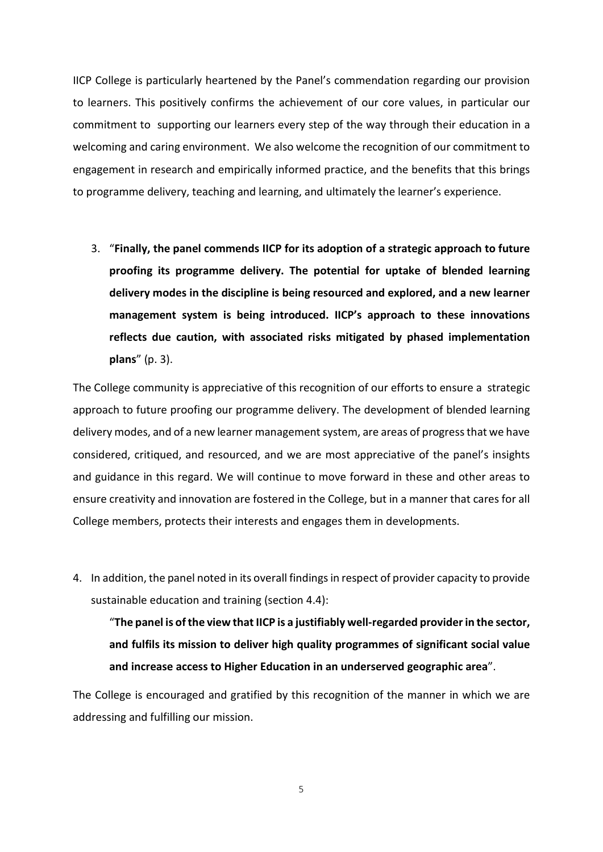IICP College is particularly heartened by the Panel's commendation regarding our provision to learners. This positively confirms the achievement of our core values, in particular our commitment to supporting our learners every step of the way through their education in a welcoming and caring environment. We also welcome the recognition of our commitment to engagement in research and empirically informed practice, and the benefits that this brings to programme delivery, teaching and learning, and ultimately the learner's experience.

3. "**Finally, the panel commends IICP for its adoption of a strategic approach to future proofing its programme delivery. The potential for uptake of blended learning delivery modes in the discipline is being resourced and explored, and a new learner management system is being introduced. IICP's approach to these innovations reflects due caution, with associated risks mitigated by phased implementation plans**" (p. 3).

The College community is appreciative of this recognition of our efforts to ensure a strategic approach to future proofing our programme delivery. The development of blended learning delivery modes, and of a new learner management system, are areas of progress that we have considered, critiqued, and resourced, and we are most appreciative of the panel's insights and guidance in this regard. We will continue to move forward in these and other areas to ensure creativity and innovation are fostered in the College, but in a manner that cares for all College members, protects their interests and engages them in developments.

4. In addition, the panel noted in its overall findings in respect of provider capacity to provide sustainable education and training (section 4.4):

"**The panel is of the view that IICP is a justifiably well-regarded provider in the sector, and fulfils its mission to deliver high quality programmes of significant social value and increase access to Higher Education in an underserved geographic area**".

The College is encouraged and gratified by this recognition of the manner in which we are addressing and fulfilling our mission.

5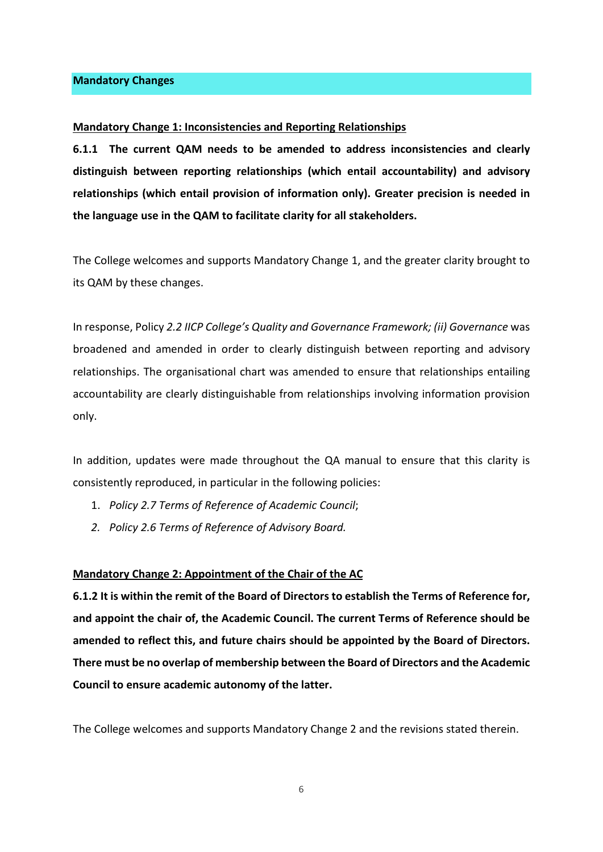#### <span id="page-26-0"></span>**Mandatory Changes**

#### <span id="page-26-1"></span>**Mandatory Change 1: Inconsistencies and Reporting Relationships**

**6.1.1 The current QAM needs to be amended to address inconsistencies and clearly distinguish between reporting relationships (which entail accountability) and advisory relationships (which entail provision of information only). Greater precision is needed in the language use in the QAM to facilitate clarity for all stakeholders.**

The College welcomes and supports Mandatory Change 1, and the greater clarity brought to its QAM by these changes.

In response, Policy *2.2 IICP College's Quality and Governance Framework; (ii) Governance* was broadened and amended in order to clearly distinguish between reporting and advisory relationships. The organisational chart was amended to ensure that relationships entailing accountability are clearly distinguishable from relationships involving information provision only.

In addition, updates were made throughout the QA manual to ensure that this clarity is consistently reproduced, in particular in the following policies:

- 1. *Policy 2.7 Terms of Reference of Academic Council*;
- *2. Policy 2.6 Terms of Reference of Advisory Board.*

#### <span id="page-26-2"></span>**Mandatory Change 2: Appointment of the Chair of the AC**

**6.1.2 It is within the remit of the Board of Directors to establish the Terms of Reference for, and appoint the chair of, the Academic Council. The current Terms of Reference should be amended to reflect this, and future chairs should be appointed by the Board of Directors. There must be no overlap of membership between the Board of Directors and the Academic Council to ensure academic autonomy of the latter.**

The College welcomes and supports Mandatory Change 2 and the revisions stated therein.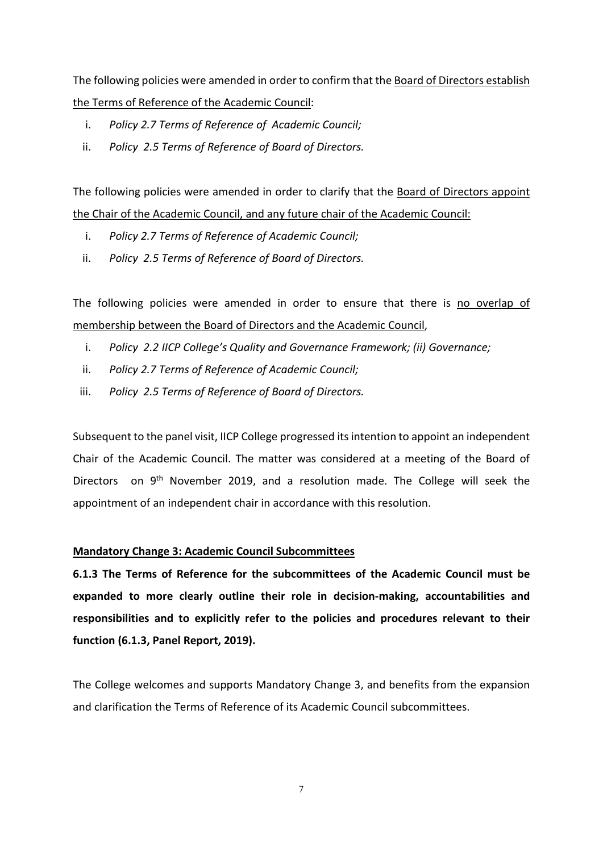The following policies were amended in order to confirm that the Board of Directors establish the Terms of Reference of the Academic Council:

- i. *Policy 2.7 Terms of Reference of Academic Council;*
- ii. *Policy 2.5 Terms of Reference of Board of Directors.*

The following policies were amended in order to clarify that the Board of Directors appoint the Chair of the Academic Council, and any future chair of the Academic Council:

- i. *Policy 2.7 Terms of Reference of Academic Council;*
- ii. *Policy 2.5 Terms of Reference of Board of Directors.*

The following policies were amended in order to ensure that there is no overlap of membership between the Board of Directors and the Academic Council,

- i. *Policy 2.2 IICP College's Quality and Governance Framework; (ii) Governance;*
- ii. *Policy 2.7 Terms of Reference of Academic Council;*
- iii. *Policy 2.5 Terms of Reference of Board of Directors.*

Subsequent to the panel visit, IICP College progressed its intention to appoint an independent Chair of the Academic Council. The matter was considered at a meeting of the Board of Directors on 9<sup>th</sup> November 2019, and a resolution made. The College will seek the appointment of an independent chair in accordance with this resolution.

## <span id="page-27-0"></span>**Mandatory Change 3: Academic Council Subcommittees**

**6.1.3 The Terms of Reference for the subcommittees of the Academic Council must be expanded to more clearly outline their role in decision-making, accountabilities and responsibilities and to explicitly refer to the policies and procedures relevant to their function (6.1.3, Panel Report, 2019).**

The College welcomes and supports Mandatory Change 3, and benefits from the expansion and clarification the Terms of Reference of its Academic Council subcommittees.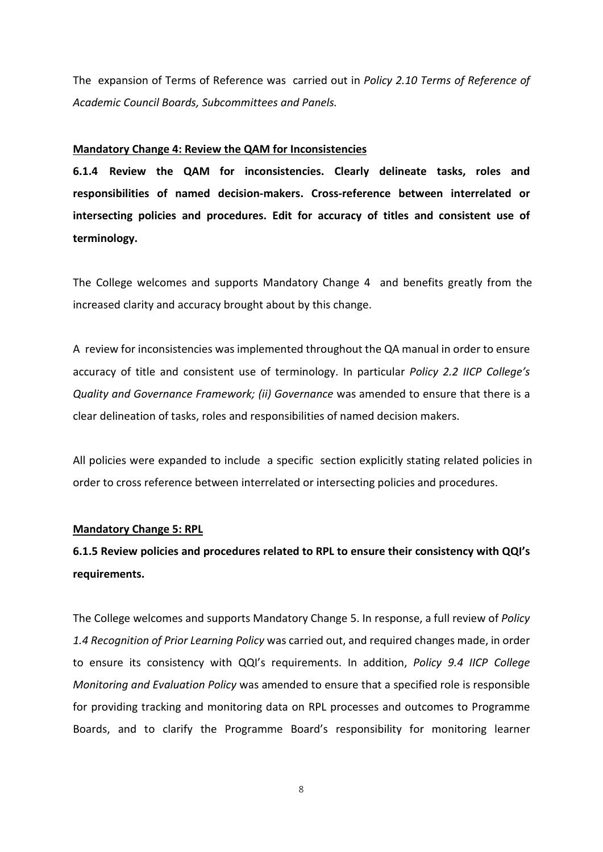The expansion of Terms of Reference was carried out in *Policy 2.10 Terms of Reference of Academic Council Boards, Subcommittees and Panels.*

## <span id="page-28-0"></span>**Mandatory Change 4: Review the QAM for Inconsistencies**

**6.1.4 Review the QAM for inconsistencies. Clearly delineate tasks, roles and responsibilities of named decision-makers. Cross-reference between interrelated or intersecting policies and procedures. Edit for accuracy of titles and consistent use of terminology.**

The College welcomes and supports Mandatory Change 4 and benefits greatly from the increased clarity and accuracy brought about by this change.

A review for inconsistencies was implemented throughout the QA manual in order to ensure accuracy of title and consistent use of terminology. In particular *Policy 2.2 IICP College's Quality and Governance Framework; (ii) Governance* was amended to ensure that there is a clear delineation of tasks, roles and responsibilities of named decision makers.

All policies were expanded to include a specific section explicitly stating related policies in order to cross reference between interrelated or intersecting policies and procedures.

## <span id="page-28-1"></span>**Mandatory Change 5: RPL**

# **6.1.5 Review policies and procedures related to RPL to ensure their consistency with QQI's requirements.**

The College welcomes and supports Mandatory Change 5. In response, a full review of *Policy 1.4 Recognition of Prior Learning Policy* was carried out, and required changes made, in order to ensure its consistency with QQI's requirements. In addition, *Policy 9.4 IICP College Monitoring and Evaluation Policy* was amended to ensure that a specified role is responsible for providing tracking and monitoring data on RPL processes and outcomes to Programme Boards, and to clarify the Programme Board's responsibility for monitoring learner

8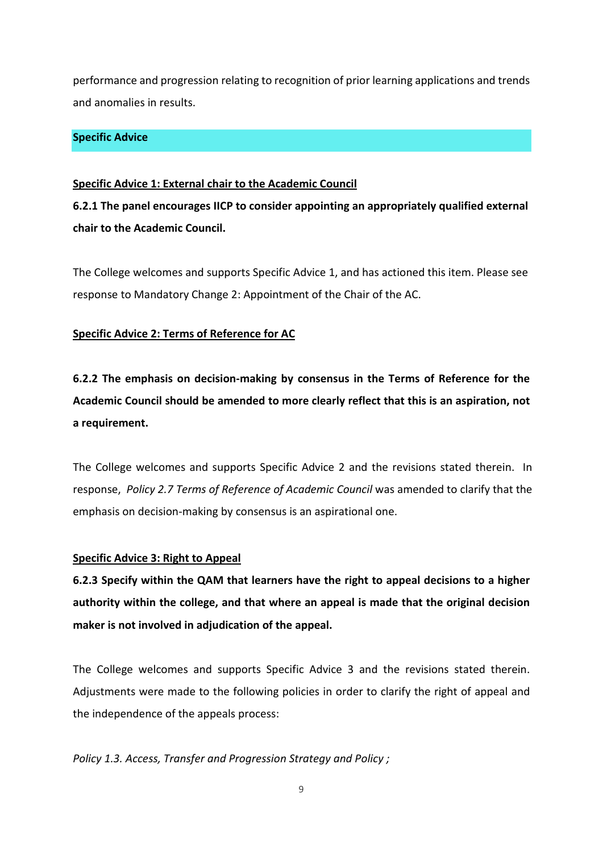performance and progression relating to recognition of prior learning applications and trends and anomalies in results.

## <span id="page-29-0"></span>**Specific Advice**

## <span id="page-29-1"></span>**Specific Advice 1: External chair to the Academic Council**

**6.2.1 The panel encourages IICP to consider appointing an appropriately qualified external chair to the Academic Council.**

The College welcomes and supports Specific Advice 1, and has actioned this item. Please see response to Mandatory Change 2: Appointment of the Chair of the AC.

## <span id="page-29-2"></span>**Specific Advice 2: Terms of Reference for AC**

**6.2.2 The emphasis on decision-making by consensus in the Terms of Reference for the Academic Council should be amended to more clearly reflect that this is an aspiration, not a requirement.** 

The College welcomes and supports Specific Advice 2 and the revisions stated therein. In response, *Policy 2.7 Terms of Reference of Academic Council* was amended to clarify that the emphasis on decision-making by consensus is an aspirational one.

## <span id="page-29-3"></span>**Specific Advice 3: Right to Appeal**

**6.2.3 Specify within the QAM that learners have the right to appeal decisions to a higher authority within the college, and that where an appeal is made that the original decision maker is not involved in adjudication of the appeal.**

The College welcomes and supports Specific Advice 3 and the revisions stated therein. Adjustments were made to the following policies in order to clarify the right of appeal and the independence of the appeals process:

*Policy 1.3. Access, Transfer and Progression Strategy and Policy ;*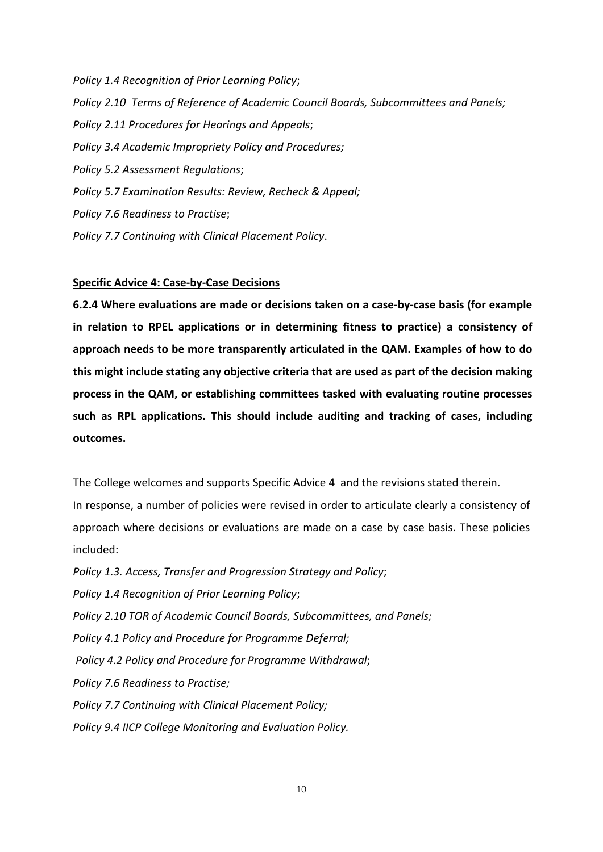*Policy 1.4 Recognition of Prior Learning Policy*; *Policy 2.10 Terms of Reference of Academic Council Boards, Subcommittees and Panels; Policy 2.11 Procedures for Hearings and Appeals*; *Policy 3.4 Academic Impropriety Policy and Procedures; Policy 5.2 Assessment Regulations*; *Policy 5.7 Examination Results: Review, Recheck & Appeal; Policy 7.6 Readiness to Practise*; *Policy 7.7 Continuing with Clinical Placement Policy*.

## <span id="page-30-0"></span>**Specific Advice 4: Case-by-Case Decisions**

**6.2.4 Where evaluations are made or decisions taken on a case-by-case basis (for example in relation to RPEL applications or in determining fitness to practice) a consistency of approach needs to be more transparently articulated in the QAM. Examples of how to do this might include stating any objective criteria that are used as part of the decision making process in the QAM, or establishing committees tasked with evaluating routine processes such as RPL applications. This should include auditing and tracking of cases, including outcomes.**

The College welcomes and supports Specific Advice 4 and the revisions stated therein.

In response, a number of policies were revised in order to articulate clearly a consistency of approach where decisions or evaluations are made on a case by case basis. These policies included:

*Policy 1.3. Access, Transfer and Progression Strategy and Policy*;

*Policy 1.4 Recognition of Prior Learning Policy*;

*Policy 2.10 TOR of Academic Council Boards, Subcommittees, and Panels;*

*Policy 4.1 Policy and Procedure for Programme Deferral;*

*Policy 4.2 Policy and Procedure for Programme Withdrawal*;

*Policy 7.6 Readiness to Practise;*

*Policy 7.7 Continuing with Clinical Placement Policy;*

*Policy 9.4 IICP College Monitoring and Evaluation Policy.*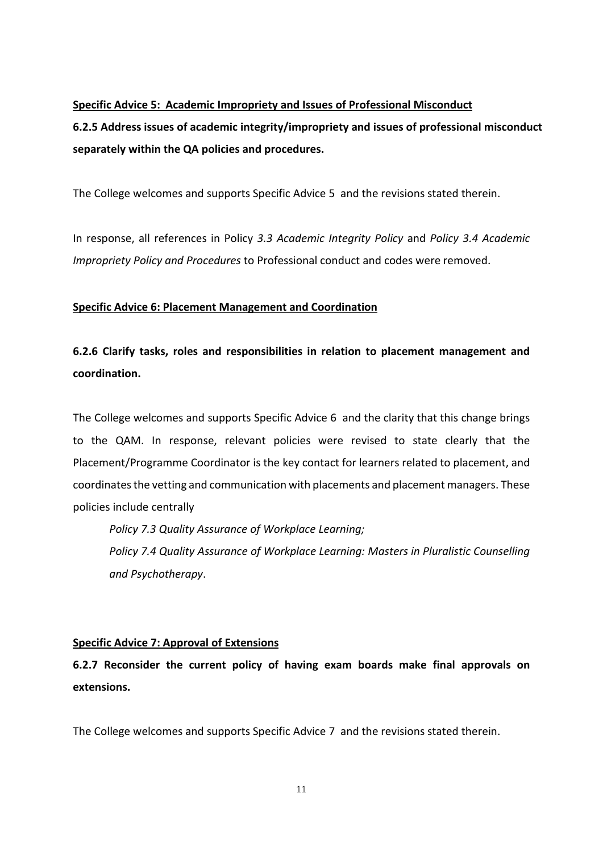## <span id="page-31-0"></span>**Specific Advice 5: Academic Impropriety and Issues of Professional Misconduct**

**6.2.5 Address issues of academic integrity/impropriety and issues of professional misconduct separately within the QA policies and procedures.**

The College welcomes and supports Specific Advice 5 and the revisions stated therein.

In response, all references in Policy *3.3 Academic Integrity Policy* and *Policy 3.4 Academic Impropriety Policy and Procedures* to Professional conduct and codes were removed.

## <span id="page-31-1"></span>**Specific Advice 6: Placement Management and Coordination**

**6.2.6 Clarify tasks, roles and responsibilities in relation to placement management and coordination.**

The College welcomes and supports Specific Advice 6 and the clarity that this change brings to the QAM. In response, relevant policies were revised to state clearly that the Placement/Programme Coordinator is the key contact for learners related to placement, and coordinates the vetting and communication with placements and placement managers. These policies include centrally

*Policy 7.3 Quality Assurance of Workplace Learning; Policy 7.4 Quality Assurance of Workplace Learning: Masters in Pluralistic Counselling and Psychotherapy*.

## <span id="page-31-2"></span>**Specific Advice 7: Approval of Extensions**

**6.2.7 Reconsider the current policy of having exam boards make final approvals on extensions.**

The College welcomes and supports Specific Advice 7 and the revisions stated therein.